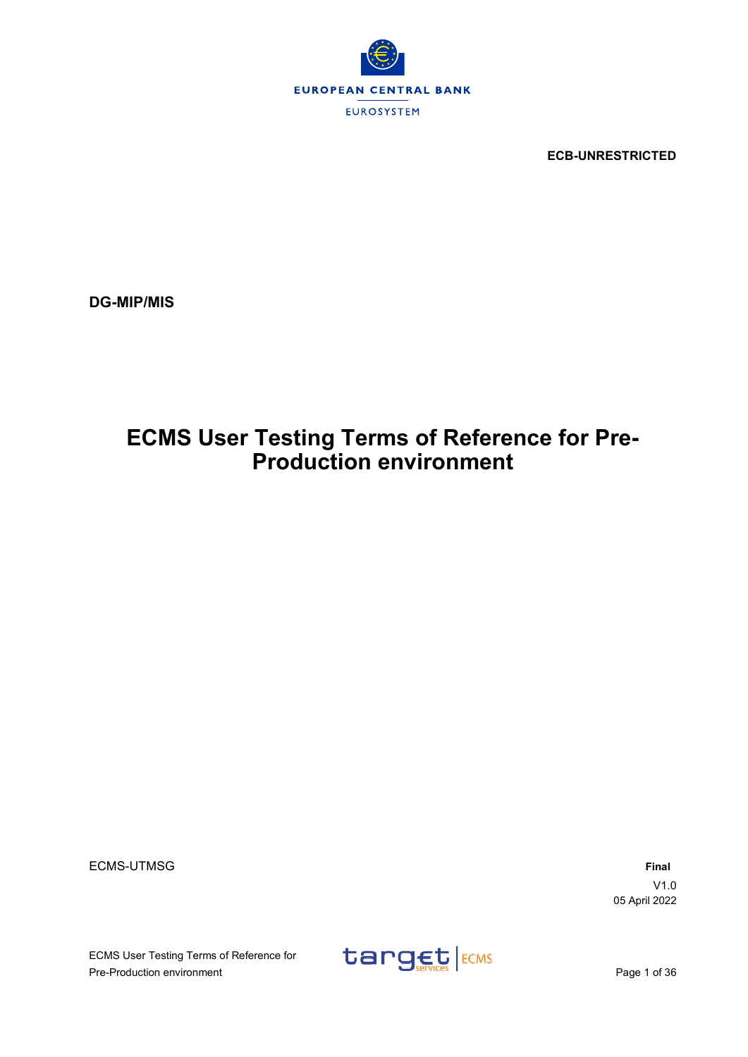

**ECB-UNRESTRICTED**

**DG-MIP/MIS**

# **ECMS User Testing Terms of Reference for Pre-Production environment**

ECMS-UTMSG **Final**

V1.0 05 April 2022

ECMS User Testing Terms of Reference for ECMS User Testing Terms of Reference for<br>
Pre-Production environment<br>
Page 1 of 36

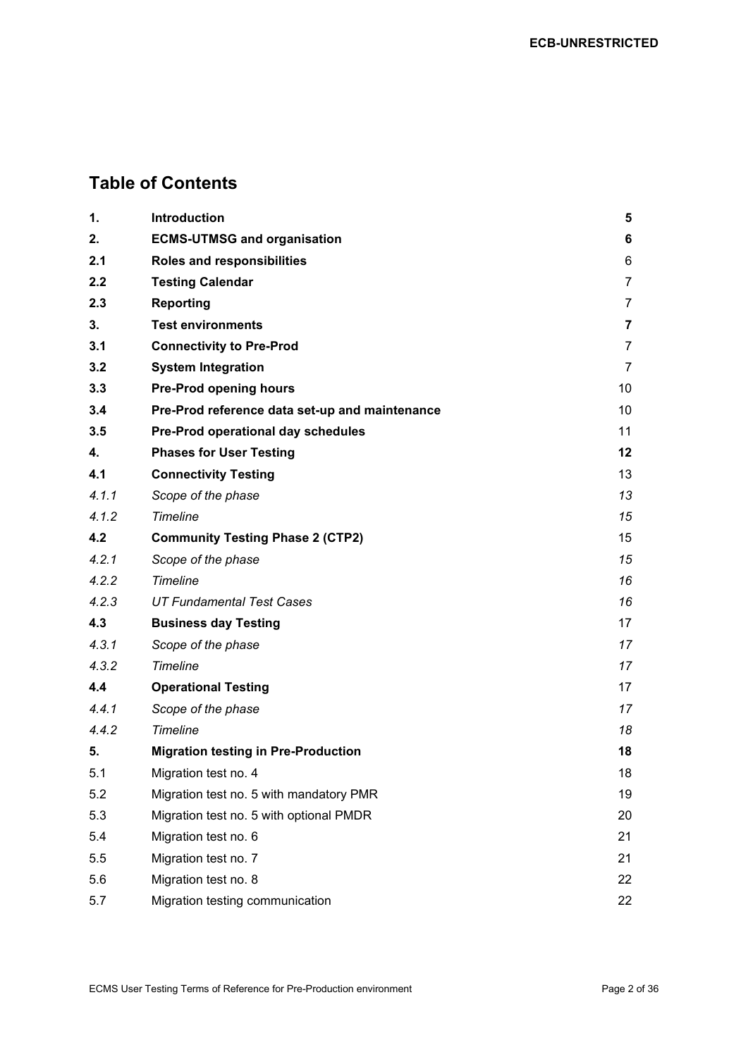## **Table of Contents**

| 1.    | Introduction                                   | 5              |
|-------|------------------------------------------------|----------------|
| 2.    | <b>ECMS-UTMSG and organisation</b>             | 6              |
| 2.1   | Roles and responsibilities                     | 6              |
| 2.2   | <b>Testing Calendar</b>                        | 7              |
| 2.3   | <b>Reporting</b>                               | 7              |
| 3.    | <b>Test environments</b>                       | $\overline{7}$ |
| 3.1   | <b>Connectivity to Pre-Prod</b>                | 7              |
| 3.2   | <b>System Integration</b>                      | 7              |
| 3.3   | <b>Pre-Prod opening hours</b>                  | 10             |
| 3.4   | Pre-Prod reference data set-up and maintenance | 10             |
| 3.5   | Pre-Prod operational day schedules             | 11             |
| 4.    | <b>Phases for User Testing</b>                 | 12             |
| 4.1   | <b>Connectivity Testing</b>                    | 13             |
| 4.1.1 | Scope of the phase                             | 13             |
| 4.1.2 | Timeline                                       | 15             |
| 4.2   | <b>Community Testing Phase 2 (CTP2)</b>        | 15             |
| 4.2.1 | Scope of the phase                             | 15             |
| 4.2.2 | Timeline                                       | 16             |
| 4.2.3 | <b>UT Fundamental Test Cases</b>               | 16             |
| 4.3   | <b>Business day Testing</b>                    | 17             |
| 4.3.1 | Scope of the phase                             | 17             |
| 4.3.2 | Timeline                                       | 17             |
| 4.4   | <b>Operational Testing</b>                     | 17             |
| 4.4.1 | Scope of the phase                             | 17             |
| 4.4.2 | Timeline                                       | 18             |
| 5.    | <b>Migration testing in Pre-Production</b>     | 18             |
| 5.1   | Migration test no. 4                           | 18             |
| 5.2   | Migration test no. 5 with mandatory PMR        | 19             |
| 5.3   | Migration test no. 5 with optional PMDR        | 20             |
| 5.4   | Migration test no. 6                           | 21             |
| 5.5   | Migration test no. 7                           | 21             |
| 5.6   | Migration test no. 8                           | 22             |
| 5.7   | Migration testing communication                | 22             |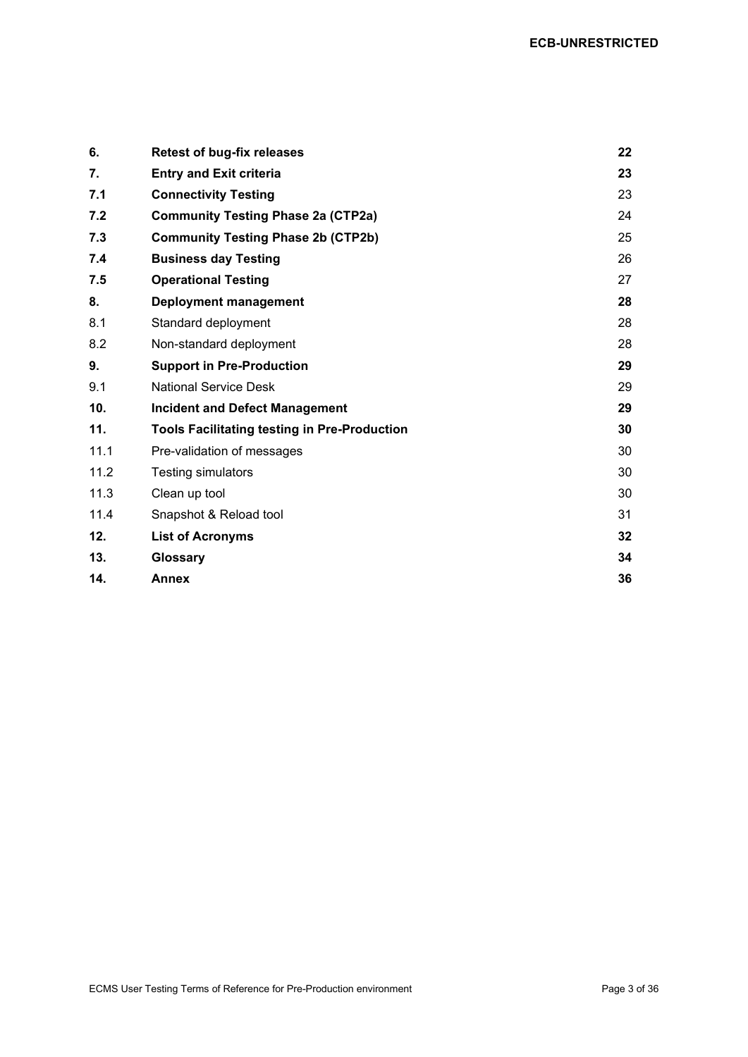| 6.   | <b>Retest of bug-fix releases</b>                   | 22              |
|------|-----------------------------------------------------|-----------------|
| 7.   | <b>Entry and Exit criteria</b>                      | 23              |
| 7.1  | <b>Connectivity Testing</b>                         | 23              |
| 7.2  | <b>Community Testing Phase 2a (CTP2a)</b>           | 24              |
| 7.3  | <b>Community Testing Phase 2b (CTP2b)</b>           | 25              |
| 7.4  | <b>Business day Testing</b>                         | 26              |
| 7.5  | <b>Operational Testing</b>                          | 27              |
| 8.   | <b>Deployment management</b>                        | 28              |
| 8.1  | Standard deployment                                 | 28              |
| 8.2  | Non-standard deployment                             | 28              |
| 9.   | <b>Support in Pre-Production</b>                    | 29              |
| 9.1  | <b>National Service Desk</b>                        | 29              |
| 10.  | <b>Incident and Defect Management</b>               | 29              |
| 11.  | <b>Tools Facilitating testing in Pre-Production</b> | 30              |
| 11.1 | Pre-validation of messages                          | 30              |
| 11.2 | <b>Testing simulators</b>                           | 30              |
| 11.3 | Clean up tool                                       | 30              |
| 11.4 | Snapshot & Reload tool                              | 31              |
| 12.  | <b>List of Acronyms</b>                             | 32 <sub>2</sub> |
| 13.  | Glossary                                            | 34              |
| 14.  | Annex                                               | 36              |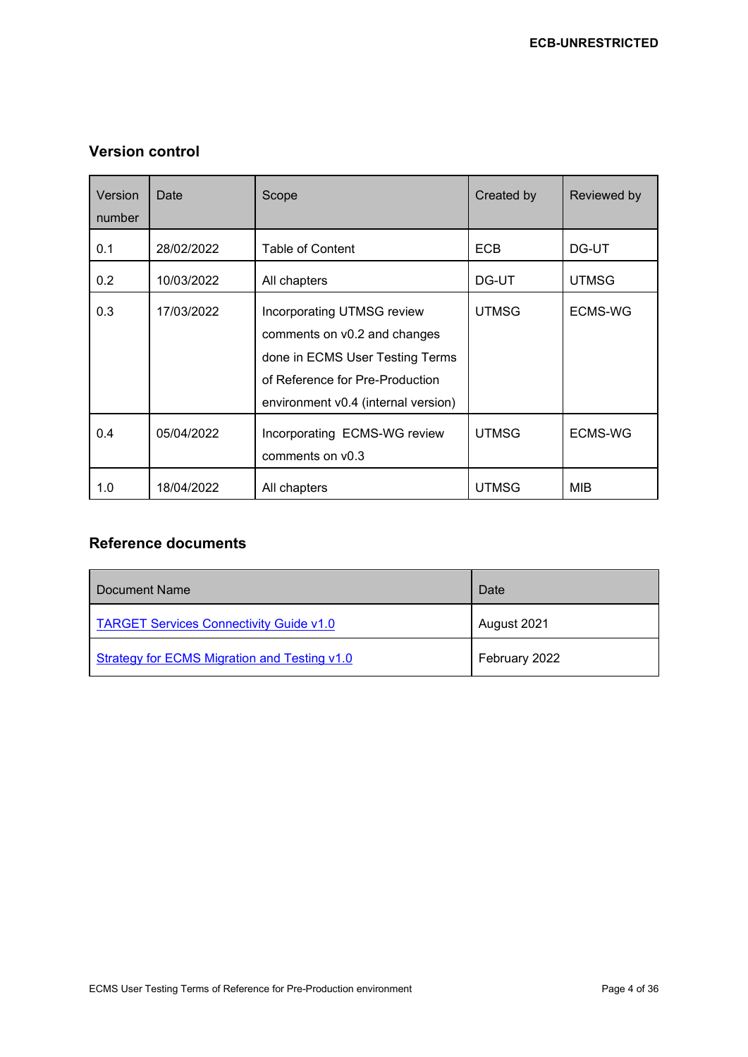## **Version control**

| Version<br>number | Date       | Scope                                                                                                                                                                          | Created by   | Reviewed by  |
|-------------------|------------|--------------------------------------------------------------------------------------------------------------------------------------------------------------------------------|--------------|--------------|
| 0.1               | 28/02/2022 | <b>Table of Content</b>                                                                                                                                                        | <b>ECB</b>   | DG-UT        |
| 0.2               | 10/03/2022 | All chapters                                                                                                                                                                   | DG-UT        | <b>UTMSG</b> |
| 0.3               | 17/03/2022 | <b>Incorporating UTMSG review</b><br>comments on v0.2 and changes<br>done in ECMS User Testing Terms<br>of Reference for Pre-Production<br>environment v0.4 (internal version) | <b>UTMSG</b> | ECMS-WG      |
| 0.4               | 05/04/2022 | Incorporating ECMS-WG review<br>comments on v0.3                                                                                                                               | <b>UTMSG</b> | ECMS-WG      |
| 1.0               | 18/04/2022 | All chapters                                                                                                                                                                   | <b>UTMSG</b> | <b>MIB</b>   |

## **Reference documents**

| Document Name                                  | Date          |
|------------------------------------------------|---------------|
| <b>TARGET Services Connectivity Guide v1.0</b> | August 2021   |
| Strategy for ECMS Migration and Testing v1.0   | February 2022 |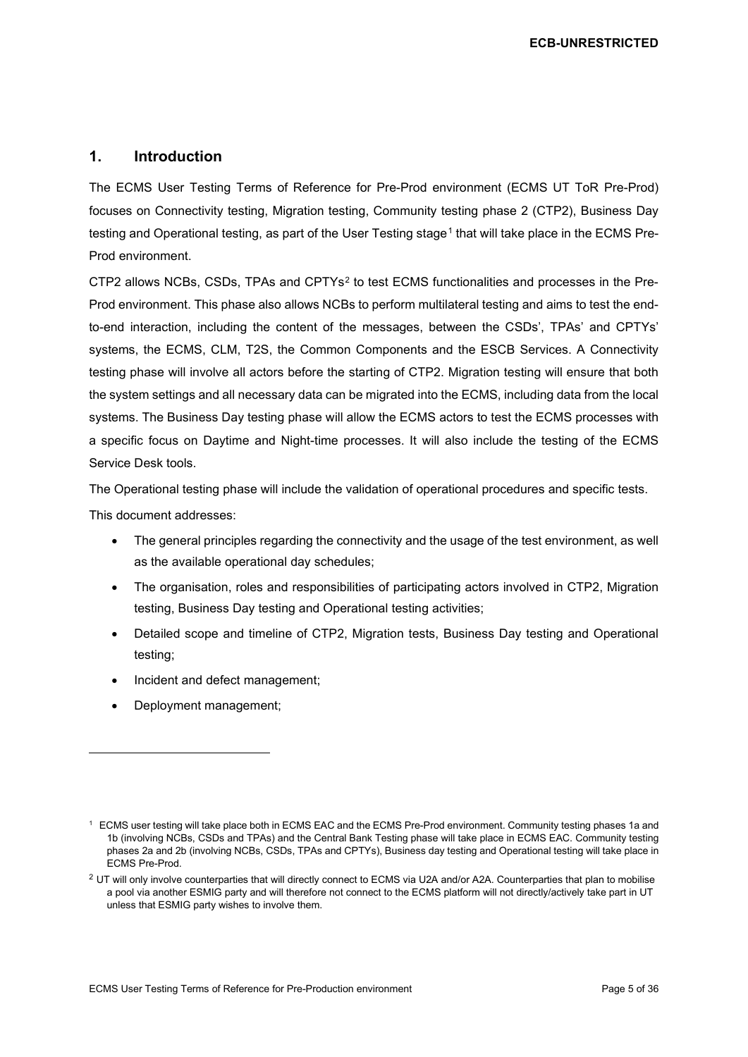## <span id="page-4-0"></span>**1. Introduction**

The ECMS User Testing Terms of Reference for Pre-Prod environment (ECMS UT ToR Pre-Prod) focuses on Connectivity testing, Migration testing, Community testing phase 2 (CTP2), Business Day testing and Operational testing, as part of the User Testing stage<sup>[1](#page-4-1)</sup> that will take place in the ECMS Pre-Prod environment.

CTP2 allows NCBs, CSDs, TPAs and CPTYs[2](#page-4-2) to test ECMS functionalities and processes in the Pre-Prod environment. This phase also allows NCBs to perform multilateral testing and aims to test the endto-end interaction, including the content of the messages, between the CSDs', TPAs' and CPTYs' systems, the ECMS, CLM, T2S, the Common Components and the ESCB Services. A Connectivity testing phase will involve all actors before the starting of CTP2. Migration testing will ensure that both the system settings and all necessary data can be migrated into the ECMS, including data from the local systems. The Business Day testing phase will allow the ECMS actors to test the ECMS processes with a specific focus on Daytime and Night-time processes. It will also include the testing of the ECMS Service Desk tools.

The Operational testing phase will include the validation of operational procedures and specific tests.

This document addresses:

- The general principles regarding the connectivity and the usage of the test environment, as well as the available operational day schedules;
- The organisation, roles and responsibilities of participating actors involved in CTP2, Migration testing, Business Day testing and Operational testing activities;
- Detailed scope and timeline of CTP2, Migration tests, Business Day testing and Operational testing;
- Incident and defect management;
- Deployment management;

<span id="page-4-1"></span><sup>1</sup> ECMS user testing will take place both in ECMS EAC and the ECMS Pre-Prod environment. Community testing phases 1a and 1b (involving NCBs, CSDs and TPAs) and the Central Bank Testing phase will take place in ECMS EAC. Community testing phases 2a and 2b (involving NCBs, CSDs, TPAs and CPTYs), Business day testing and Operational testing will take place in ECMS Pre-Prod.

<span id="page-4-2"></span> $2$  UT will only involve counterparties that will directly connect to ECMS via U2A and/or A2A. Counterparties that plan to mobilise a pool via another ESMIG party and will therefore not connect to the ECMS platform will not directly/actively take part in UT unless that ESMIG party wishes to involve them.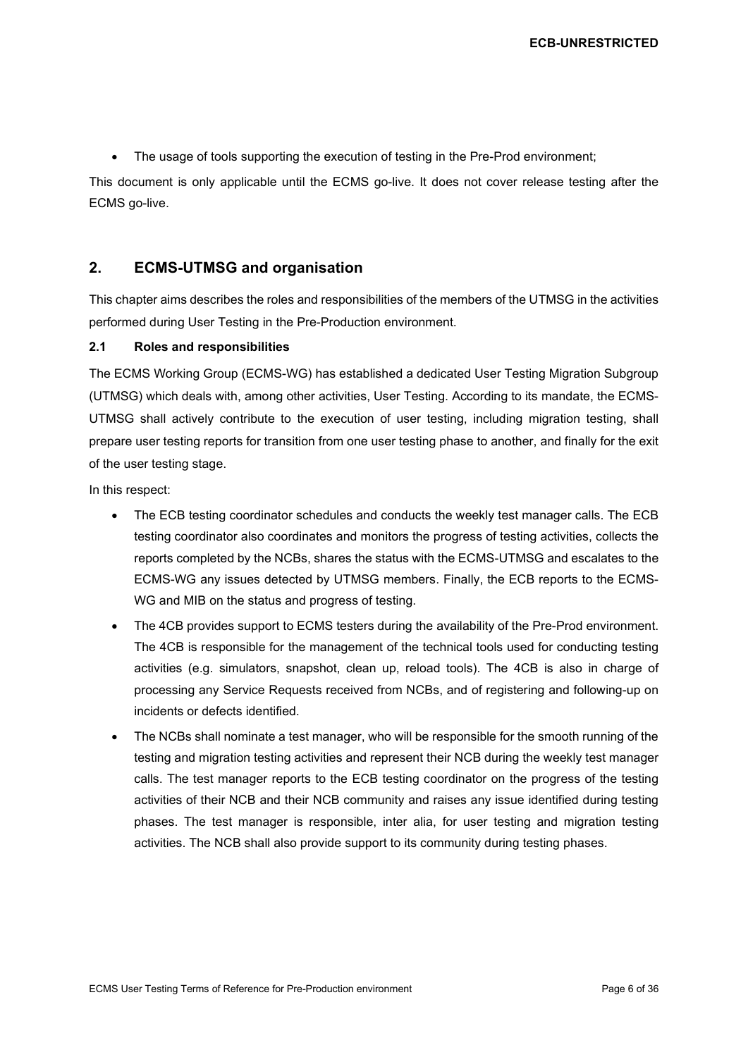• The usage of tools supporting the execution of testing in the Pre-Prod environment;

This document is only applicable until the ECMS go-live. It does not cover release testing after the ECMS go-live.

## <span id="page-5-0"></span>**2. ECMS-UTMSG and organisation**

This chapter aims describes the roles and responsibilities of the members of the UTMSG in the activities performed during User Testing in the Pre-Production environment.

#### <span id="page-5-1"></span>**2.1 Roles and responsibilities**

The ECMS Working Group (ECMS-WG) has established a dedicated User Testing Migration Subgroup (UTMSG) which deals with, among other activities, User Testing. According to its mandate, the ECMS-UTMSG shall actively contribute to the execution of user testing, including migration testing, shall prepare user testing reports for transition from one user testing phase to another, and finally for the exit of the user testing stage.

In this respect:

- The ECB testing coordinator schedules and conducts the weekly test manager calls. The ECB testing coordinator also coordinates and monitors the progress of testing activities, collects the reports completed by the NCBs, shares the status with the ECMS-UTMSG and escalates to the ECMS-WG any issues detected by UTMSG members. Finally, the ECB reports to the ECMS-WG and MIB on the status and progress of testing.
- The 4CB provides support to ECMS testers during the availability of the Pre-Prod environment. The 4CB is responsible for the management of the technical tools used for conducting testing activities (e.g. simulators, snapshot, clean up, reload tools). The 4CB is also in charge of processing any Service Requests received from NCBs, and of registering and following-up on incidents or defects identified.
- The NCBs shall nominate a test manager, who will be responsible for the smooth running of the testing and migration testing activities and represent their NCB during the weekly test manager calls. The test manager reports to the ECB testing coordinator on the progress of the testing activities of their NCB and their NCB community and raises any issue identified during testing phases. The test manager is responsible, inter alia, for user testing and migration testing activities. The NCB shall also provide support to its community during testing phases.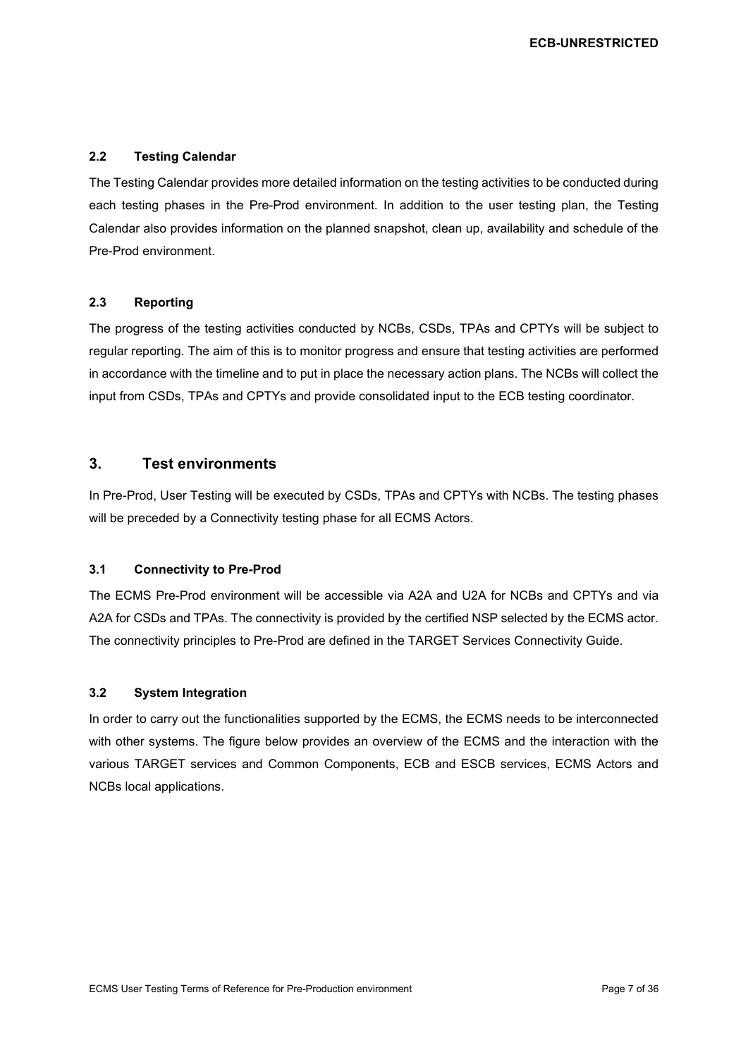#### <span id="page-6-0"></span>**2.2 Testing Calendar**

The Testing Calendar provides more detailed information on the testing activities to be conducted during each testing phases in the Pre-Prod environment. In addition to the user testing plan, the Testing Calendar also provides information on the planned snapshot, clean up, availability and schedule of the Pre-Prod environment.

#### <span id="page-6-1"></span>**2.3 Reporting**

The progress of the testing activities conducted by NCBs, CSDs, TPAs and CPTYs will be subject to regular reporting. The aim of this is to monitor progress and ensure that testing activities are performed in accordance with the timeline and to put in place the necessary action plans. The NCBs will collect the input from CSDs, TPAs and CPTYs and provide consolidated input to the ECB testing coordinator.

## <span id="page-6-2"></span>**3. Test environments**

In Pre-Prod, User Testing will be executed by CSDs, TPAs and CPTYs with NCBs. The testing phases will be preceded by a Connectivity testing phase for all ECMS Actors.

## <span id="page-6-3"></span>**3.1 Connectivity to Pre-Prod**

The ECMS Pre-Prod environment will be accessible via A2A and U2A for NCBs and CPTYs and via A2A for CSDs and TPAs. The connectivity is provided by the certified NSP selected by the ECMS actor. The connectivity principles to Pre-Prod are defined in the TARGET Services Connectivity Guide.

#### <span id="page-6-4"></span>**3.2 System Integration**

In order to carry out the functionalities supported by the ECMS, the ECMS needs to be interconnected with other systems. The figure below provides an overview of the ECMS and the interaction with the various TARGET services and Common Components, ECB and ESCB services, ECMS Actors and NCBs local applications.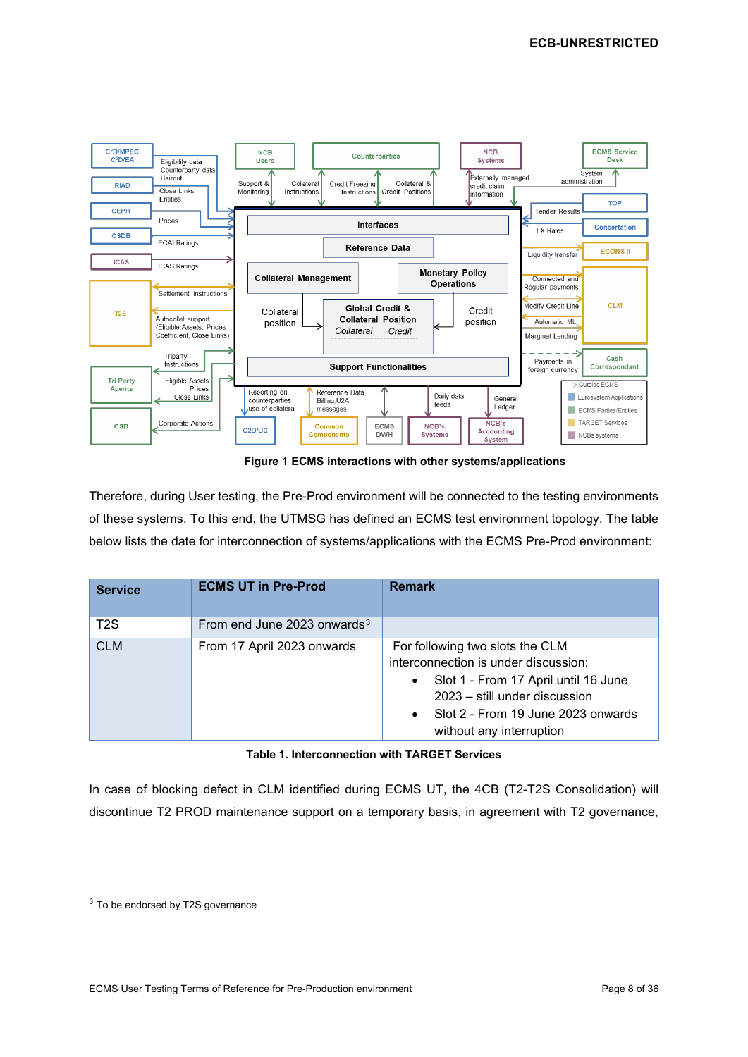

**Figure 1 ECMS interactions with other systems/applications**

Therefore, during User testing, the Pre-Prod environment will be connected to the testing environments of these systems. To this end, the UTMSG has defined an ECMS test environment topology. The table below lists the date for interconnection of systems/applications with the ECMS Pre-Prod environment:

| <b>Service</b>   | <b>ECMS UT in Pre-Prod</b>     | <b>Remark</b>                                                                                                                                                                                                                                |
|------------------|--------------------------------|----------------------------------------------------------------------------------------------------------------------------------------------------------------------------------------------------------------------------------------------|
| T <sub>2</sub> S | From end June 2023 onwards $3$ |                                                                                                                                                                                                                                              |
| <b>CLM</b>       | From 17 April 2023 onwards     | For following two slots the CLM<br>interconnection is under discussion:<br>Slot 1 - From 17 April until 16 June<br>$\bullet$<br>2023 – still under discussion<br>Slot 2 - From 19 June 2023 onwards<br>$\bullet$<br>without any interruption |

#### **Table 1. Interconnection with TARGET Services**

In case of blocking defect in CLM identified during ECMS UT, the 4CB (T2-T2S Consolidation) will discontinue T2 PROD maintenance support on a temporary basis, in agreement with T2 governance,

<span id="page-7-0"></span><sup>3</sup> To be endorsed by T2S governance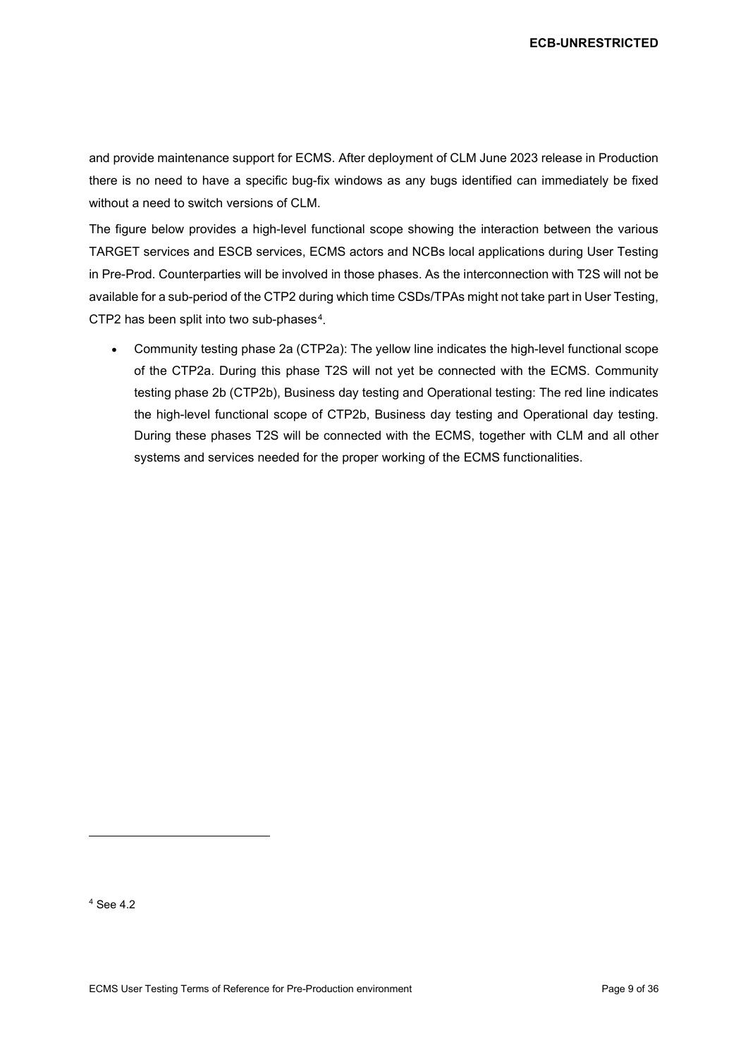and provide maintenance support for ECMS. After deployment of CLM June 2023 release in Production there is no need to have a specific bug-fix windows as any bugs identified can immediately be fixed without a need to switch versions of CLM.

The figure below provides a high-level functional scope showing the interaction between the various TARGET services and ESCB services, ECMS actors and NCBs local applications during User Testing in Pre-Prod. Counterparties will be involved in those phases. As the interconnection with T2S will not be available for a sub-period of the CTP2 during which time CSDs/TPAs might not take part in User Testing, CTP2 has been split into two sub-phases<sup>4</sup>.

• Community testing phase 2a (CTP2a): The yellow line indicates the high-level functional scope of the CTP2a. During this phase T2S will not yet be connected with the ECMS. Community testing phase 2b (CTP2b), Business day testing and Operational testing: The red line indicates the high-level functional scope of CTP2b, Business day testing and Operational day testing. During these phases T2S will be connected with the ECMS, together with CLM and all other systems and services needed for the proper working of the ECMS functionalities.

<span id="page-8-0"></span><sup>4</sup> See [4.2](#page-14-1)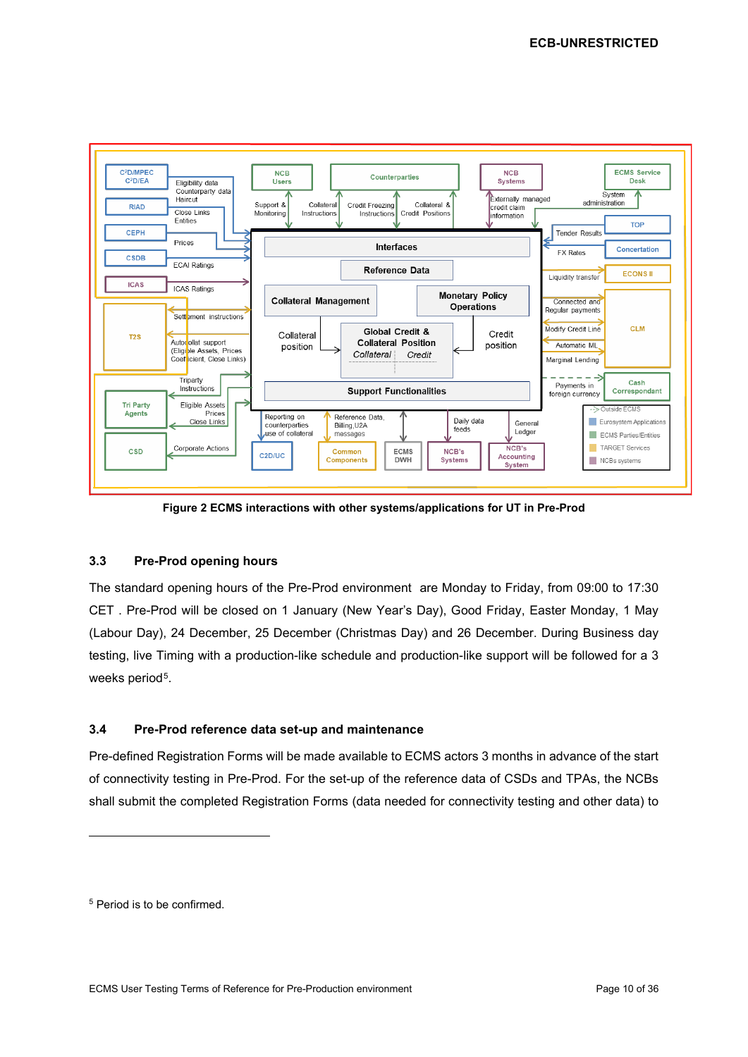

**Figure 2 ECMS interactions with other systems/applications for UT in Pre-Prod**

## <span id="page-9-0"></span>**3.3 Pre-Prod opening hours**

The standard opening hours of the Pre-Prod environment are Monday to Friday, from 09:00 to 17:30 CET . Pre-Prod will be closed on 1 January (New Year's Day), Good Friday, Easter Monday, 1 May (Labour Day), 24 December, 25 December (Christmas Day) and 26 December. During Business day testing, live Timing with a production-like schedule and production-like support will be followed for a 3 weeks period<sup>5</sup>.

## <span id="page-9-1"></span>**3.4 Pre-Prod reference data set-up and maintenance**

Pre-defined Registration Forms will be made available to ECMS actors 3 months in advance of the start of connectivity testing in Pre-Prod. For the set-up of the reference data of CSDs and TPAs, the NCBs shall submit the completed Registration Forms (data needed for connectivity testing and other data) to

<span id="page-9-2"></span><sup>5</sup> Period is to be confirmed.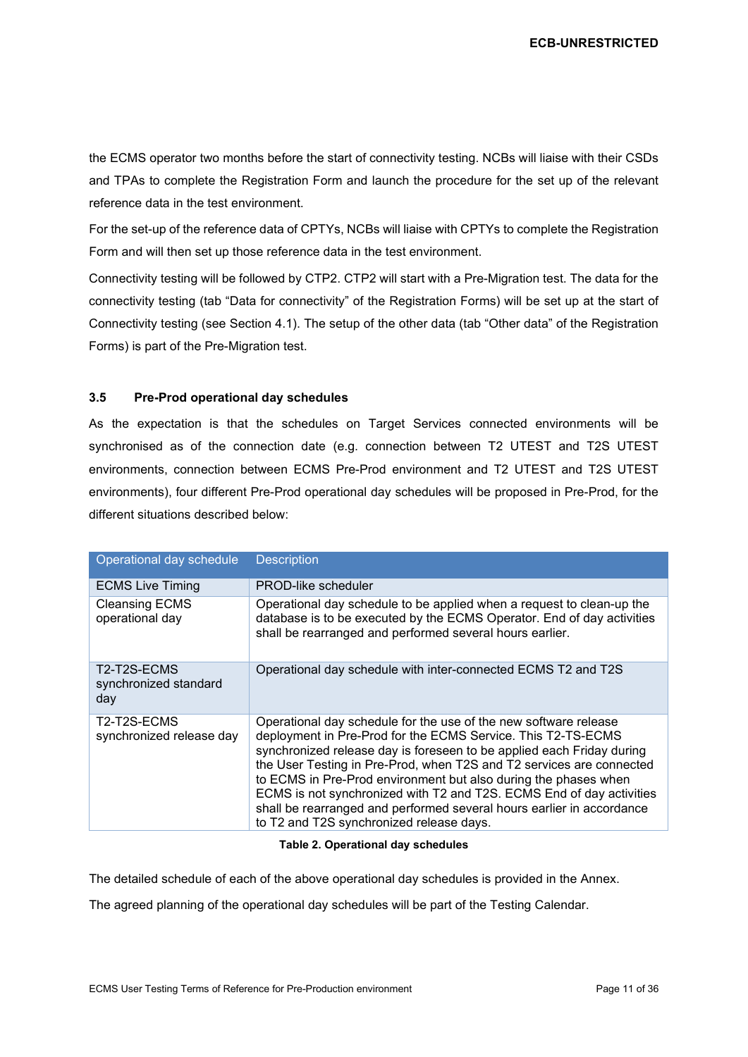the ECMS operator two months before the start of connectivity testing. NCBs will liaise with their CSDs and TPAs to complete the Registration Form and launch the procedure for the set up of the relevant reference data in the test environment.

For the set-up of the reference data of CPTYs, NCBs will liaise with CPTYs to complete the Registration Form and will then set up those reference data in the test environment.

Connectivity testing will be followed by CTP2. CTP2 will start with a Pre-Migration test. The data for the connectivity testing (tab "Data for connectivity" of the Registration Forms) will be set up at the start of Connectivity testing (see Section [4.1\)](#page-12-0). The setup of the other data (tab "Other data" of the Registration Forms) is part of the Pre-Migration test.

#### <span id="page-10-0"></span>**3.5 Pre-Prod operational day schedules**

As the expectation is that the schedules on Target Services connected environments will be synchronised as of the connection date (e.g. connection between T2 UTEST and T2S UTEST environments, connection between ECMS Pre-Prod environment and T2 UTEST and T2S UTEST environments), four different Pre-Prod operational day schedules will be proposed in Pre-Prod, for the different situations described below:

| Operational day schedule                    | <b>Description</b>                                                                                                                                                                                                                                                                                                                                                                                                                                                                                                                                |
|---------------------------------------------|---------------------------------------------------------------------------------------------------------------------------------------------------------------------------------------------------------------------------------------------------------------------------------------------------------------------------------------------------------------------------------------------------------------------------------------------------------------------------------------------------------------------------------------------------|
| <b>ECMS Live Timing</b>                     | PROD-like scheduler                                                                                                                                                                                                                                                                                                                                                                                                                                                                                                                               |
| <b>Cleansing ECMS</b><br>operational day    | Operational day schedule to be applied when a request to clean-up the<br>database is to be executed by the ECMS Operator. End of day activities<br>shall be rearranged and performed several hours earlier.                                                                                                                                                                                                                                                                                                                                       |
| T2-T2S-ECMS<br>synchronized standard<br>day | Operational day schedule with inter-connected ECMS T2 and T2S                                                                                                                                                                                                                                                                                                                                                                                                                                                                                     |
| T2-T2S-ECMS<br>synchronized release day     | Operational day schedule for the use of the new software release<br>deployment in Pre-Prod for the ECMS Service. This T2-TS-ECMS<br>synchronized release day is foreseen to be applied each Friday during<br>the User Testing in Pre-Prod, when T2S and T2 services are connected<br>to ECMS in Pre-Prod environment but also during the phases when<br>ECMS is not synchronized with T2 and T2S. ECMS End of day activities<br>shall be rearranged and performed several hours earlier in accordance<br>to T2 and T2S synchronized release days. |

#### **Table 2. Operational day schedules**

The detailed schedule of each of the above operational day schedules is provided in the Annex.

The agreed planning of the operational day schedules will be part of the Testing Calendar.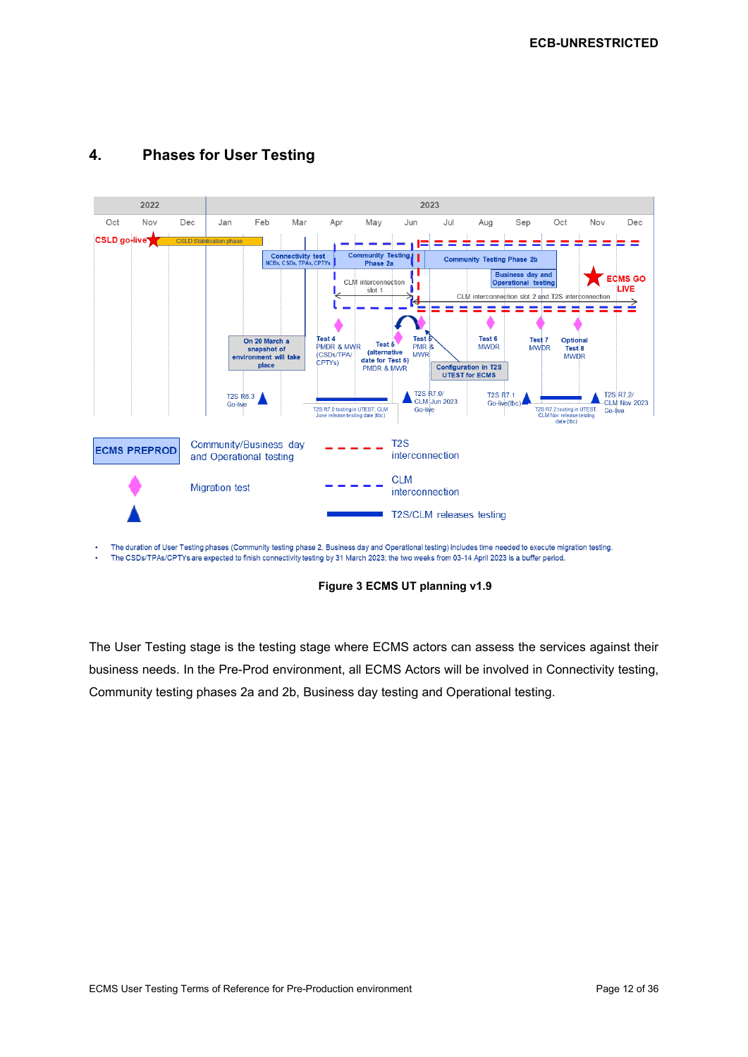

## <span id="page-11-0"></span>**4. Phases for User Testing**

The duration of User Testing phases (Community testing phase 2, Business day and Operational testing) includes time needed to execute migration testing. The CSDs/TPAs/CPTYs are expected to finish connectivity testing by 31 March 2023; the two weeks from 03-14 April 2023 is a buffer period.

**Figure 3 ECMS UT planning v1.9**

The User Testing stage is the testing stage where ECMS actors can assess the services against their business needs. In the Pre-Prod environment, all ECMS Actors will be involved in Connectivity testing, Community testing phases 2a and 2b, Business day testing and Operational testing.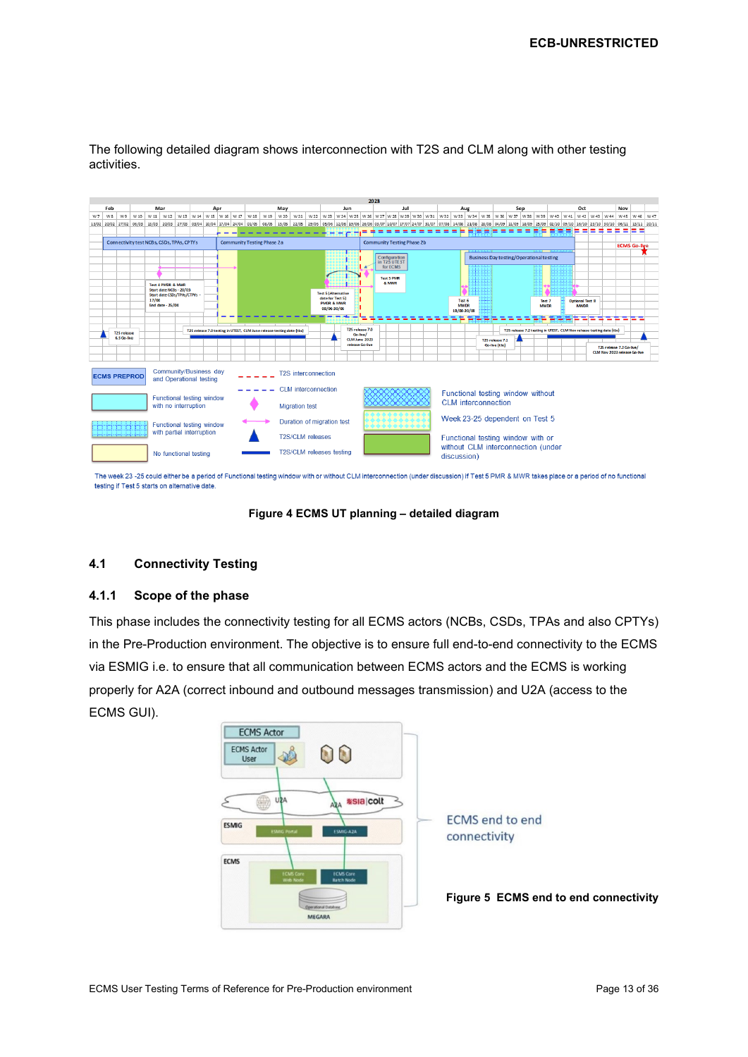|    |                |                                   |                                           |       |                   |                                                   |  |     |                                   |      |                                                                                                                                                                                                                                 |                            |      |                                                |                          | 2023 |  |                                                                                                                                                                              |     |     |  |                       |  |                                                 |                                                                      |                                    |  |                       |     |  |                                       |   |   |                                                          |  |
|----|----------------|-----------------------------------|-------------------------------------------|-------|-------------------|---------------------------------------------------|--|-----|-----------------------------------|------|---------------------------------------------------------------------------------------------------------------------------------------------------------------------------------------------------------------------------------|----------------------------|------|------------------------------------------------|--------------------------|------|--|------------------------------------------------------------------------------------------------------------------------------------------------------------------------------|-----|-----|--|-----------------------|--|-------------------------------------------------|----------------------------------------------------------------------|------------------------------------|--|-----------------------|-----|--|---------------------------------------|---|---|----------------------------------------------------------|--|
|    | Feb            |                                   |                                           | Mar   |                   |                                                   |  | Apr |                                   |      | May                                                                                                                                                                                                                             |                            |      |                                                | Jun                      |      |  | Jul                                                                                                                                                                          | Aug | Sep |  |                       |  |                                                 | Oct                                                                  |                                    |  |                       | Nov |  |                                       |   |   |                                                          |  |
| W7 | W <sub>8</sub> | W <sub>9</sub>                    | W 10                                      |       | W 11 W 12         | W 13                                              |  |     | W 14 W 15 W 16 W 17               | W 18 | W 19<br>W 20                                                                                                                                                                                                                    | W 21                       | W 22 |                                                |                          |      |  | w 23   w 24   w 25   w 25   w 27   w 28   w 29   w 30   w 31   w 32   w 33   w 34   w 35   w 36   w 37   w 38   w 39   w 40   w 41   w 42   w 43   w 44   w 45   w 46   w 47 |     |     |  |                       |  |                                                 |                                                                      |                                    |  |                       |     |  |                                       |   |   |                                                          |  |
|    |                |                                   | 13/02 20/02 27/02 06/03                   |       |                   |                                                   |  |     |                                   |      | 13/03 20/03 27/03 03/09 09/10 09/10 09 13/04 24/04 04/05 08/05 15/05 22/05 29/05 05/06 12/06 18906 26/06 03/07 1007 17/07 24/07 31/07 07/03 14/08 21/08 20/08 20/09 14/09 18/09 25/09 09/10 09/10 09/10 16/10 23/10 30/10 06/11 |                            |      |                                                |                          |      |  |                                                                                                                                                                              |     |     |  |                       |  |                                                 |                                                                      |                                    |  |                       |     |  |                                       |   |   |                                                          |  |
|    |                |                                   |                                           |       |                   |                                                   |  |     |                                   |      |                                                                                                                                                                                                                                 |                            |      |                                                |                          |      |  |                                                                                                                                                                              |     |     |  |                       |  |                                                 |                                                                      |                                    |  |                       |     |  | = = =                                 | ⋍ | = | ===                                                      |  |
|    |                |                                   |                                           |       |                   |                                                   |  |     | <b>Community Testing Phase 2a</b> |      |                                                                                                                                                                                                                                 |                            |      |                                                |                          |      |  | <b>Community Testing Phase 2b</b>                                                                                                                                            |     |     |  |                       |  |                                                 |                                                                      |                                    |  |                       |     |  |                                       |   |   |                                                          |  |
|    |                |                                   | Connectivity test NCBs, CSDs, TPAs, CPTYs |       |                   |                                                   |  |     |                                   |      |                                                                                                                                                                                                                                 |                            |      |                                                |                          |      |  |                                                                                                                                                                              |     |     |  |                       |  | <b>ECMS Go-live</b>                             |                                                                      |                                    |  |                       |     |  |                                       |   |   |                                                          |  |
|    |                |                                   |                                           |       |                   |                                                   |  |     |                                   |      |                                                                                                                                                                                                                                 |                            |      |                                                |                          |      |  | Configuration                                                                                                                                                                |     |     |  |                       |  | <b>Business Day testing/Operational testing</b> |                                                                      |                                    |  |                       |     |  |                                       |   |   |                                                          |  |
|    |                |                                   |                                           |       |                   |                                                   |  |     |                                   |      |                                                                                                                                                                                                                                 |                            |      |                                                |                          |      |  | in T2S UTE ST<br>for ECMS                                                                                                                                                    |     |     |  |                       |  |                                                 |                                                                      |                                    |  |                       |     |  |                                       |   |   |                                                          |  |
|    |                |                                   |                                           |       |                   |                                                   |  |     |                                   |      |                                                                                                                                                                                                                                 |                            |      |                                                |                          |      |  |                                                                                                                                                                              |     |     |  |                       |  |                                                 |                                                                      |                                    |  |                       |     |  |                                       |   |   |                                                          |  |
|    |                |                                   |                                           |       |                   |                                                   |  |     |                                   |      |                                                                                                                                                                                                                                 |                            |      |                                                |                          |      |  | <b>Test 5 PMR</b><br>& MWR                                                                                                                                                   |     |     |  |                       |  |                                                 |                                                                      |                                    |  |                       |     |  |                                       |   |   |                                                          |  |
|    |                |                                   |                                           |       | Test 4 PMDR & MWR | Start date NCBs - 20/03                           |  |     |                                   |      |                                                                                                                                                                                                                                 |                            |      |                                                |                          |      |  |                                                                                                                                                                              |     |     |  |                       |  |                                                 |                                                                      |                                    |  |                       |     |  |                                       |   |   |                                                          |  |
|    |                |                                   |                                           |       |                   | Start date CSDs/TPAs/CTPYs -                      |  |     |                                   |      |                                                                                                                                                                                                                                 |                            |      | <b>Test 5 (Alternative</b><br>date for Test 5) |                          |      |  |                                                                                                                                                                              |     |     |  |                       |  |                                                 |                                                                      |                                    |  |                       |     |  |                                       |   |   |                                                          |  |
|    |                |                                   |                                           | 17/04 | End date - 25/04  |                                                   |  |     |                                   |      |                                                                                                                                                                                                                                 |                            |      | <b>PMDR &amp; MMR</b>                          |                          |      |  |                                                                                                                                                                              |     |     |  | Test 6<br><b>MWDR</b> |  |                                                 |                                                                      |                                    |  | Test 7<br><b>MWDR</b> |     |  | <b>Optional Test 8</b><br><b>MMDR</b> |   |   |                                                          |  |
|    |                |                                   |                                           |       |                   |                                                   |  |     |                                   |      |                                                                                                                                                                                                                                 |                            |      | 08/06-30/06                                    |                          |      |  |                                                                                                                                                                              |     |     |  | 18/08-20/08           |  |                                                 |                                                                      |                                    |  |                       |     |  |                                       |   |   |                                                          |  |
|    |                |                                   |                                           |       |                   |                                                   |  |     |                                   |      |                                                                                                                                                                                                                                 |                            |      |                                                |                          |      |  |                                                                                                                                                                              |     |     |  |                       |  |                                                 |                                                                      |                                    |  |                       |     |  |                                       |   |   |                                                          |  |
|    |                |                                   |                                           |       |                   |                                                   |  |     |                                   |      | T2S release 7.0 testing in UTEST, CLM June release testing date (tbc)                                                                                                                                                           |                            |      |                                                | T25 release 7.0          |      |  |                                                                                                                                                                              |     |     |  |                       |  |                                                 |                                                                      |                                    |  |                       |     |  |                                       |   |   |                                                          |  |
|    |                | <b>T2S release</b><br>6.3 Go-live |                                           |       |                   |                                                   |  |     |                                   |      |                                                                                                                                                                                                                                 |                            |      |                                                | Go-live/<br>CLMJune 2023 |      |  |                                                                                                                                                                              |     |     |  |                       |  |                                                 | T2S release 7.2 testing in UTEST, CLM Nov release testing date (tbc) |                                    |  |                       |     |  |                                       |   |   |                                                          |  |
|    |                |                                   |                                           |       |                   |                                                   |  |     |                                   |      |                                                                                                                                                                                                                                 |                            |      |                                                | release Go-live          |      |  |                                                                                                                                                                              |     |     |  |                       |  | T2S release 7.1<br>Go-live (tbd)                |                                                                      |                                    |  |                       |     |  |                                       |   |   |                                                          |  |
|    |                |                                   |                                           |       |                   |                                                   |  |     |                                   |      |                                                                                                                                                                                                                                 |                            |      |                                                |                          |      |  |                                                                                                                                                                              |     |     |  |                       |  |                                                 |                                                                      |                                    |  |                       |     |  |                                       |   |   | T25 release 7.2 Go-live/<br>CLM Nov 2023 release Go-live |  |
|    |                |                                   |                                           |       |                   |                                                   |  |     |                                   |      |                                                                                                                                                                                                                                 |                            |      |                                                |                          |      |  |                                                                                                                                                                              |     |     |  |                       |  |                                                 |                                                                      |                                    |  |                       |     |  |                                       |   |   |                                                          |  |
|    |                |                                   |                                           |       |                   |                                                   |  |     |                                   |      |                                                                                                                                                                                                                                 |                            |      |                                                |                          |      |  |                                                                                                                                                                              |     |     |  |                       |  |                                                 |                                                                      |                                    |  |                       |     |  |                                       |   |   |                                                          |  |
|    |                |                                   | <b>ECMS PREPROD</b>                       |       |                   | Community/Business day<br>and Operational testing |  |     |                                   |      |                                                                                                                                                                                                                                 | <b>T2S</b> interconnection |      |                                                |                          |      |  |                                                                                                                                                                              |     |     |  |                       |  |                                                 |                                                                      |                                    |  |                       |     |  |                                       |   |   |                                                          |  |
|    |                |                                   |                                           |       |                   |                                                   |  |     |                                   |      |                                                                                                                                                                                                                                 |                            |      |                                                |                          |      |  |                                                                                                                                                                              |     |     |  |                       |  |                                                 |                                                                      |                                    |  |                       |     |  |                                       |   |   |                                                          |  |
|    |                |                                   |                                           |       |                   |                                                   |  |     |                                   |      |                                                                                                                                                                                                                                 | CLM interconnection        |      |                                                |                          |      |  |                                                                                                                                                                              |     |     |  |                       |  |                                                 |                                                                      | Functional testing window without  |  |                       |     |  |                                       |   |   |                                                          |  |
|    |                |                                   |                                           |       |                   | Functional testing window                         |  |     |                                   |      |                                                                                                                                                                                                                                 |                            |      |                                                |                          |      |  |                                                                                                                                                                              |     |     |  |                       |  | <b>CLM</b> interconnection                      |                                                                      |                                    |  |                       |     |  |                                       |   |   |                                                          |  |
|    |                |                                   |                                           |       |                   | with no interruption                              |  |     |                                   |      |                                                                                                                                                                                                                                 | <b>Migration test</b>      |      |                                                |                          |      |  |                                                                                                                                                                              |     |     |  |                       |  |                                                 |                                                                      |                                    |  |                       |     |  |                                       |   |   |                                                          |  |
|    |                |                                   |                                           |       |                   |                                                   |  |     |                                   |      |                                                                                                                                                                                                                                 |                            |      |                                                |                          |      |  |                                                                                                                                                                              |     |     |  |                       |  |                                                 |                                                                      |                                    |  |                       |     |  |                                       |   |   |                                                          |  |
|    |                |                                   |                                           |       |                   | Functional testing window                         |  |     |                                   |      |                                                                                                                                                                                                                                 | Duration of migration test |      |                                                |                          |      |  |                                                                                                                                                                              |     |     |  |                       |  |                                                 |                                                                      | Week 23-25 dependent on Test 5     |  |                       |     |  |                                       |   |   |                                                          |  |
|    |                |                                   |                                           |       |                   | with partial interruption                         |  |     |                                   |      |                                                                                                                                                                                                                                 |                            |      |                                                |                          |      |  |                                                                                                                                                                              |     |     |  |                       |  |                                                 |                                                                      |                                    |  |                       |     |  |                                       |   |   |                                                          |  |
|    |                |                                   |                                           |       |                   |                                                   |  |     |                                   |      | T2S/CLM releases                                                                                                                                                                                                                |                            |      |                                                |                          |      |  |                                                                                                                                                                              |     |     |  |                       |  |                                                 | Functional testing window with or                                    |                                    |  |                       |     |  |                                       |   |   |                                                          |  |
|    |                |                                   |                                           |       |                   |                                                   |  |     |                                   |      |                                                                                                                                                                                                                                 |                            |      |                                                |                          |      |  |                                                                                                                                                                              |     |     |  |                       |  |                                                 |                                                                      | without CLM interconnection (under |  |                       |     |  |                                       |   |   |                                                          |  |
|    |                |                                   |                                           |       |                   | No functional testing                             |  |     |                                   |      |                                                                                                                                                                                                                                 | T2S/CLM releases testing   |      |                                                |                          |      |  |                                                                                                                                                                              |     |     |  | discussion)           |  |                                                 |                                                                      |                                    |  |                       |     |  |                                       |   |   |                                                          |  |
|    |                |                                   |                                           |       |                   |                                                   |  |     |                                   |      |                                                                                                                                                                                                                                 |                            |      |                                                |                          |      |  |                                                                                                                                                                              |     |     |  |                       |  |                                                 |                                                                      |                                    |  |                       |     |  |                                       |   |   |                                                          |  |
|    |                |                                   |                                           |       |                   |                                                   |  |     |                                   |      |                                                                                                                                                                                                                                 |                            |      |                                                |                          |      |  |                                                                                                                                                                              |     |     |  |                       |  |                                                 |                                                                      |                                    |  |                       |     |  |                                       |   |   |                                                          |  |

The following detailed diagram shows interconnection with T2S and CLM along with other testing activities.

The week 23 -25 could either be a period of Functional testing window with or without CLM interconnection (under discussion) if Test 5 PMR & MWR takes place or a period of no functional testing if Test 5 starts on alternative date

#### **Figure 4 ECMS UT planning – detailed diagram**

## <span id="page-12-0"></span>**4.1 Connectivity Testing**

#### <span id="page-12-1"></span>**4.1.1 Scope of the phase**

This phase includes the connectivity testing for all ECMS actors (NCBs, CSDs, TPAs and also CPTYs) in the Pre-Production environment. The objective is to ensure full end-to-end connectivity to the ECMS via ESMIG i.e. to ensure that all communication between ECMS actors and the ECMS is working properly for A2A (correct inbound and outbound messages transmission) and U2A (access to the ECMS GUI).

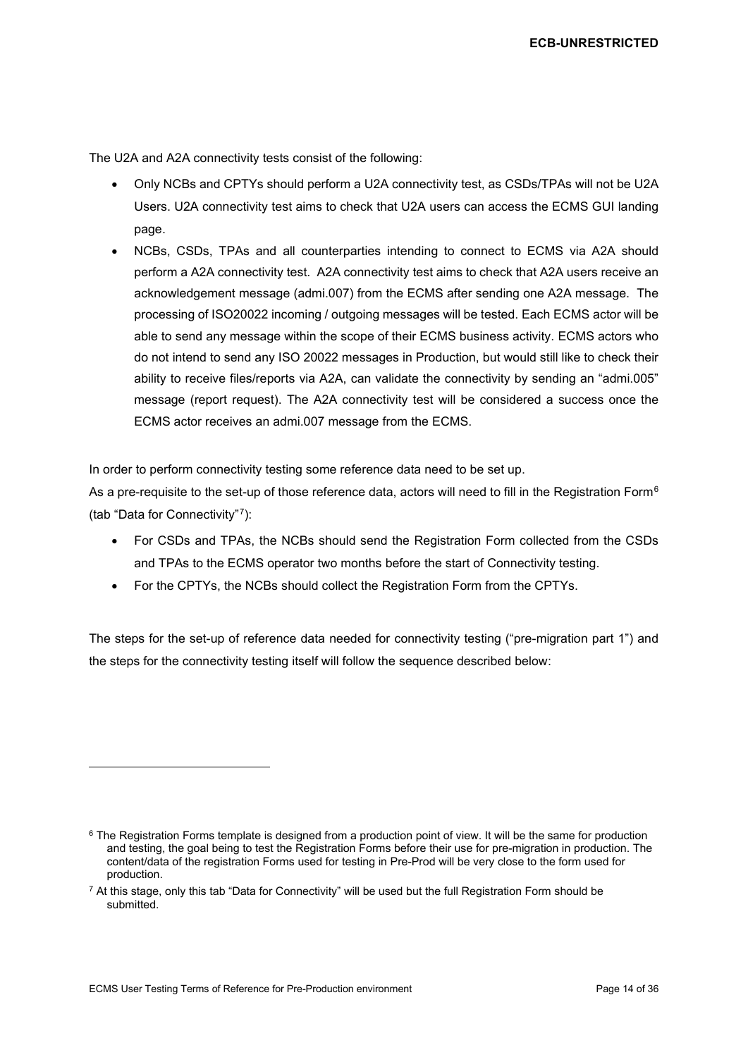The U2A and A2A connectivity tests consist of the following:

- Only NCBs and CPTYs should perform a U2A connectivity test, as CSDs/TPAs will not be U2A Users. U2A connectivity test aims to check that U2A users can access the ECMS GUI landing page.
- NCBs, CSDs, TPAs and all counterparties intending to connect to ECMS via A2A should perform a A2A connectivity test. A2A connectivity test aims to check that A2A users receive an acknowledgement message (admi.007) from the ECMS after sending one A2A message. The processing of ISO20022 incoming / outgoing messages will be tested. Each ECMS actor will be able to send any message within the scope of their ECMS business activity. ECMS actors who do not intend to send any ISO 20022 messages in Production, but would still like to check their ability to receive files/reports via A2A, can validate the connectivity by sending an "admi.005" message (report request). The A2A connectivity test will be considered a success once the ECMS actor receives an admi.007 message from the ECMS.

In order to perform connectivity testing some reference data need to be set up.

As a pre-requisite to the set-up of those reference data, actors will need to fill in the Registration Form<sup>[6](#page-13-0)</sup> (tab "Data for Connectivity"[7\)](#page-13-1):

- For CSDs and TPAs, the NCBs should send the Registration Form collected from the CSDs and TPAs to the ECMS operator two months before the start of Connectivity testing.
- For the CPTYs, the NCBs should collect the Registration Form from the CPTYs.

The steps for the set-up of reference data needed for connectivity testing ("pre-migration part 1") and the steps for the connectivity testing itself will follow the sequence described below:

<span id="page-13-0"></span><sup>&</sup>lt;sup>6</sup> The Registration Forms template is designed from a production point of view. It will be the same for production and testing, the goal being to test the Registration Forms before their use for pre-migration in production. The content/data of the registration Forms used for testing in Pre-Prod will be very close to the form used for production.

<span id="page-13-1"></span> $7$  At this stage, only this tab "Data for Connectivity" will be used but the full Registration Form should be submitted.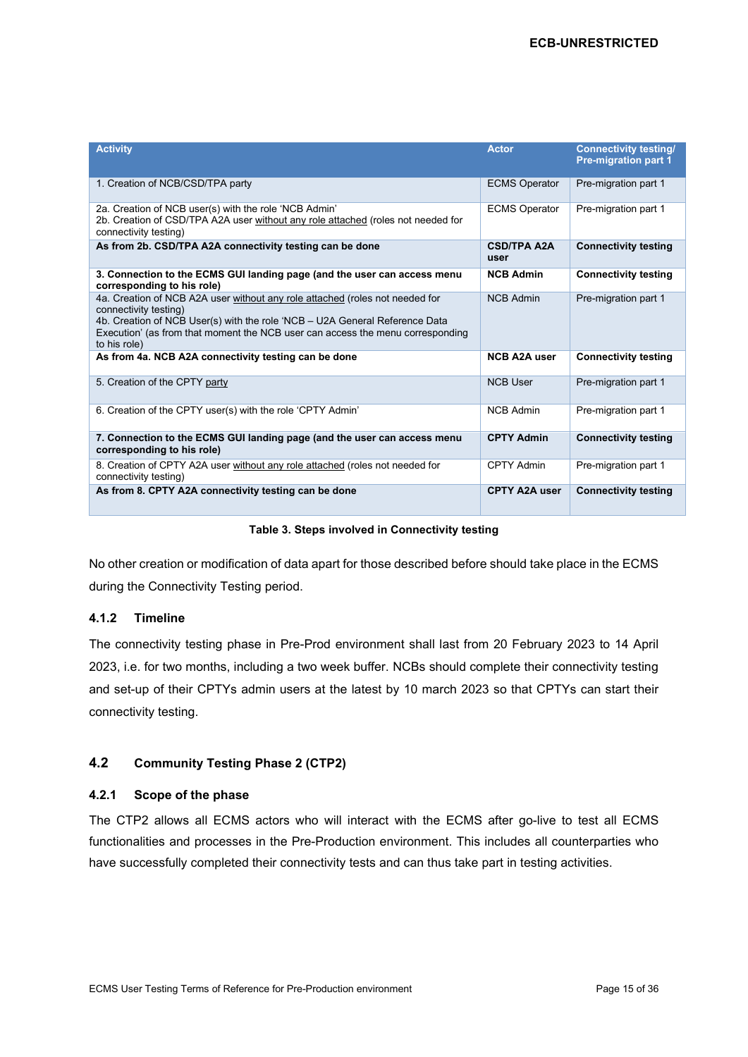| <b>Activity</b>                                                                                                                                                                                                                                                                        | <b>Actor</b>               | <b>Connectivity testing/</b><br><b>Pre-migration part 1</b> |
|----------------------------------------------------------------------------------------------------------------------------------------------------------------------------------------------------------------------------------------------------------------------------------------|----------------------------|-------------------------------------------------------------|
| 1. Creation of NCB/CSD/TPA party                                                                                                                                                                                                                                                       | <b>ECMS Operator</b>       | Pre-migration part 1                                        |
| 2a. Creation of NCB user(s) with the role 'NCB Admin'<br>2b. Creation of CSD/TPA A2A user without any role attached (roles not needed for<br>connectivity testing)                                                                                                                     | <b>ECMS Operator</b>       | Pre-migration part 1                                        |
| As from 2b. CSD/TPA A2A connectivity testing can be done                                                                                                                                                                                                                               | <b>CSD/TPA A2A</b><br>user | <b>Connectivity testing</b>                                 |
| 3. Connection to the ECMS GUI landing page (and the user can access menu<br>corresponding to his role)                                                                                                                                                                                 | <b>NCB Admin</b>           | <b>Connectivity testing</b>                                 |
| 4a. Creation of NCB A2A user without any role attached (roles not needed for<br>connectivity testing)<br>4b. Creation of NCB User(s) with the role 'NCB – U2A General Reference Data<br>Execution' (as from that moment the NCB user can access the menu corresponding<br>to his role) | <b>NCB Admin</b>           | Pre-migration part 1                                        |
| As from 4a. NCB A2A connectivity testing can be done                                                                                                                                                                                                                                   | <b>NCB A2A user</b>        | <b>Connectivity testing</b>                                 |
| 5. Creation of the CPTY party                                                                                                                                                                                                                                                          | <b>NCB User</b>            | Pre-migration part 1                                        |
| 6. Creation of the CPTY user(s) with the role 'CPTY Admin'                                                                                                                                                                                                                             | <b>NCB Admin</b>           | Pre-migration part 1                                        |
| 7. Connection to the ECMS GUI landing page (and the user can access menu<br>corresponding to his role)                                                                                                                                                                                 | <b>CPTY Admin</b>          | <b>Connectivity testing</b>                                 |
| 8. Creation of CPTY A2A user without any role attached (roles not needed for<br>connectivity testing)                                                                                                                                                                                  | CPTY Admin                 | Pre-migration part 1                                        |
| As from 8. CPTY A2A connectivity testing can be done                                                                                                                                                                                                                                   | <b>CPTY A2A user</b>       | <b>Connectivity testing</b>                                 |

**Table 3. Steps involved in Connectivity testing**

No other creation or modification of data apart for those described before should take place in the ECMS during the Connectivity Testing period.

## <span id="page-14-0"></span>**4.1.2 Timeline**

The connectivity testing phase in Pre-Prod environment shall last from 20 February 2023 to 14 April 2023, i.e. for two months, including a two week buffer. NCBs should complete their connectivity testing and set-up of their CPTYs admin users at the latest by 10 march 2023 so that CPTYs can start their connectivity testing.

## <span id="page-14-1"></span>**4.2 Community Testing Phase 2 (CTP2)**

## <span id="page-14-2"></span>**4.2.1 Scope of the phase**

The CTP2 allows all ECMS actors who will interact with the ECMS after go-live to test all ECMS functionalities and processes in the Pre-Production environment. This includes all counterparties who have successfully completed their connectivity tests and can thus take part in testing activities.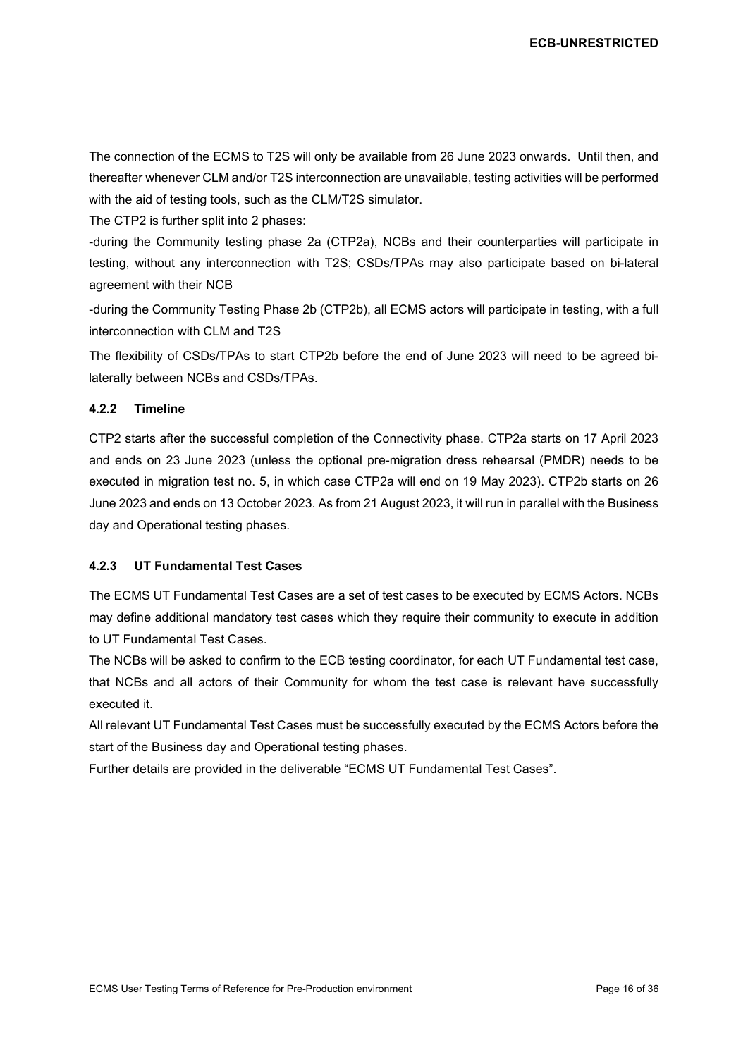The connection of the ECMS to T2S will only be available from 26 June 2023 onwards. Until then, and thereafter whenever CLM and/or T2S interconnection are unavailable, testing activities will be performed with the aid of testing tools, such as the CLM/T2S simulator.

The CTP2 is further split into 2 phases:

-during the Community testing phase 2a (CTP2a), NCBs and their counterparties will participate in testing, without any interconnection with T2S; CSDs/TPAs may also participate based on bi-lateral agreement with their NCB

-during the Community Testing Phase 2b (CTP2b), all ECMS actors will participate in testing, with a full interconnection with CLM and T2S

The flexibility of CSDs/TPAs to start CTP2b before the end of June 2023 will need to be agreed bilaterally between NCBs and CSDs/TPAs.

#### <span id="page-15-0"></span>**4.2.2 Timeline**

CTP2 starts after the successful completion of the Connectivity phase. CTP2a starts on 17 April 2023 and ends on 23 June 2023 (unless the optional pre-migration dress rehearsal (PMDR) needs to be executed in migration test no. 5, in which case CTP2a will end on 19 May 2023). CTP2b starts on 26 June 2023 and ends on 13 October 2023. As from 21 August 2023, it will run in parallel with the Business day and Operational testing phases.

#### <span id="page-15-1"></span>**4.2.3 UT Fundamental Test Cases**

The ECMS UT Fundamental Test Cases are a set of test cases to be executed by ECMS Actors. NCBs may define additional mandatory test cases which they require their community to execute in addition to UT Fundamental Test Cases.

The NCBs will be asked to confirm to the ECB testing coordinator, for each UT Fundamental test case, that NCBs and all actors of their Community for whom the test case is relevant have successfully executed it.

All relevant UT Fundamental Test Cases must be successfully executed by the ECMS Actors before the start of the Business day and Operational testing phases.

Further details are provided in the deliverable "ECMS UT Fundamental Test Cases".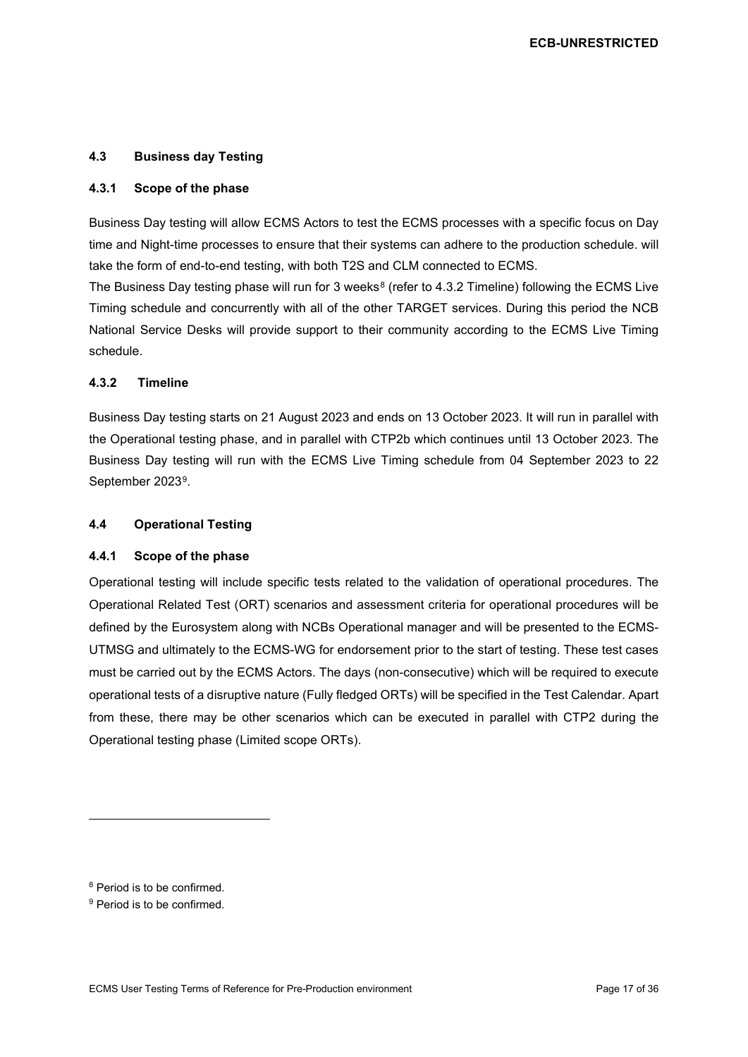#### <span id="page-16-0"></span>**4.3 Business day Testing**

#### <span id="page-16-1"></span>**4.3.1 Scope of the phase**

Business Day testing will allow ECMS Actors to test the ECMS processes with a specific focus on Day time and Night-time processes to ensure that their systems can adhere to the production schedule. will take the form of end-to-end testing, with both T2S and CLM connected to ECMS.

The Business Day testing phase will run for 3 weeks<sup>[8](#page-16-5)</sup> (refer to [4.3.2](#page-16-2) [Timeline\)](#page-16-2) following the ECMS Live Timing schedule and concurrently with all of the other TARGET services. During this period the NCB National Service Desks will provide support to their community according to the ECMS Live Timing schedule.

#### <span id="page-16-2"></span>**4.3.2 Timeline**

Business Day testing starts on 21 August 2023 and ends on 13 October 2023. It will run in parallel with the Operational testing phase, and in parallel with CTP2b which continues until 13 October 2023. The Business Day testing will run with the ECMS Live Timing schedule from 04 September 2023 to 22 September 2023[9.](#page-16-6)

#### <span id="page-16-3"></span>**4.4 Operational Testing**

#### <span id="page-16-4"></span>**4.4.1 Scope of the phase**

Operational testing will include specific tests related to the validation of operational procedures. The Operational Related Test (ORT) scenarios and assessment criteria for operational procedures will be defined by the Eurosystem along with NCBs Operational manager and will be presented to the ECMS-UTMSG and ultimately to the ECMS-WG for endorsement prior to the start of testing. These test cases must be carried out by the ECMS Actors. The days (non-consecutive) which will be required to execute operational tests of a disruptive nature (Fully fledged ORTs) will be specified in the Test Calendar. Apart from these, there may be other scenarios which can be executed in parallel with CTP2 during the Operational testing phase (Limited scope ORTs).

<span id="page-16-5"></span><sup>8</sup> Period is to be confirmed.

<span id="page-16-6"></span><sup>9</sup> Period is to be confirmed.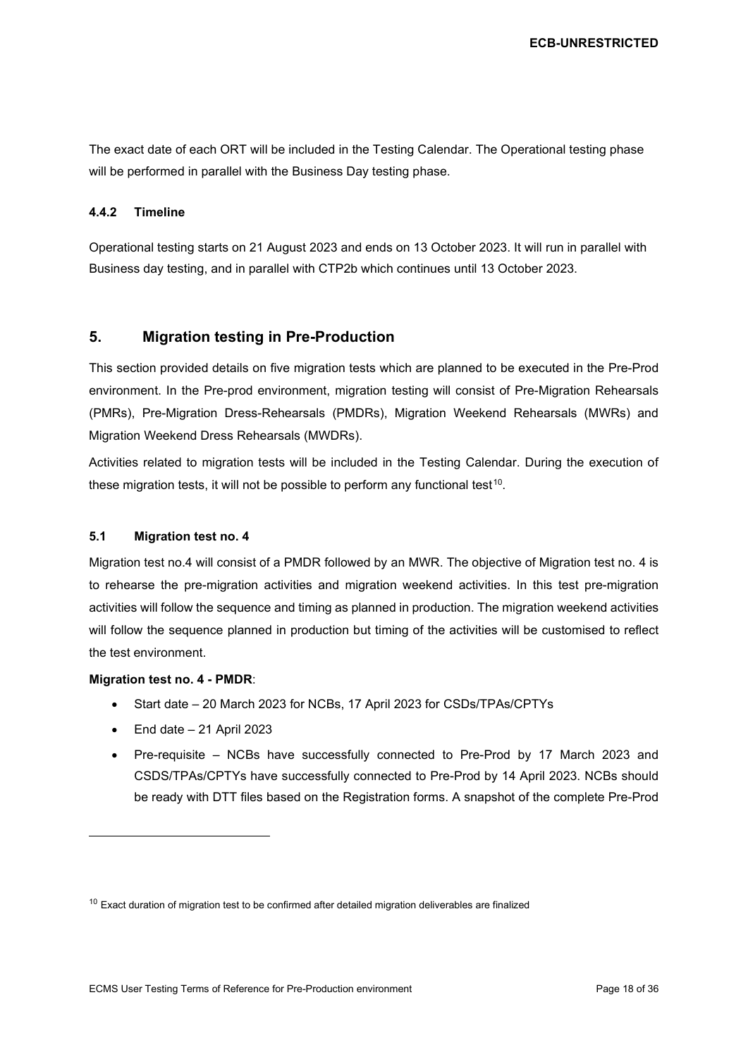The exact date of each ORT will be included in the Testing Calendar. The Operational testing phase will be performed in parallel with the Business Day testing phase.

#### <span id="page-17-0"></span>**4.4.2 Timeline**

Operational testing starts on 21 August 2023 and ends on 13 October 2023. It will run in parallel with Business day testing, and in parallel with CTP2b which continues until 13 October 2023.

## <span id="page-17-1"></span>**5. Migration testing in Pre-Production**

This section provided details on five migration tests which are planned to be executed in the Pre-Prod environment. In the Pre-prod environment, migration testing will consist of Pre-Migration Rehearsals (PMRs), Pre-Migration Dress-Rehearsals (PMDRs), Migration Weekend Rehearsals (MWRs) and Migration Weekend Dress Rehearsals (MWDRs).

Activities related to migration tests will be included in the Testing Calendar. During the execution of these migration tests, it will not be possible to perform any functional test<sup>10</sup>.

#### <span id="page-17-2"></span>**5.1 Migration test no. 4**

Migration test no.4 will consist of a PMDR followed by an MWR. The objective of Migration test no. 4 is to rehearse the pre-migration activities and migration weekend activities. In this test pre-migration activities will follow the sequence and timing as planned in production. The migration weekend activities will follow the sequence planned in production but timing of the activities will be customised to reflect the test environment.

#### **Migration test no. 4 - PMDR**:

- Start date 20 March 2023 for NCBs, 17 April 2023 for CSDs/TPAs/CPTYs
- $\bullet$  End date  $-21$  April 2023
- Pre-requisite NCBs have successfully connected to Pre-Prod by 17 March 2023 and CSDS/TPAs/CPTYs have successfully connected to Pre-Prod by 14 April 2023. NCBs should be ready with DTT files based on the Registration forms. A snapshot of the complete Pre-Prod

<span id="page-17-3"></span> $10$  Exact duration of migration test to be confirmed after detailed migration deliverables are finalized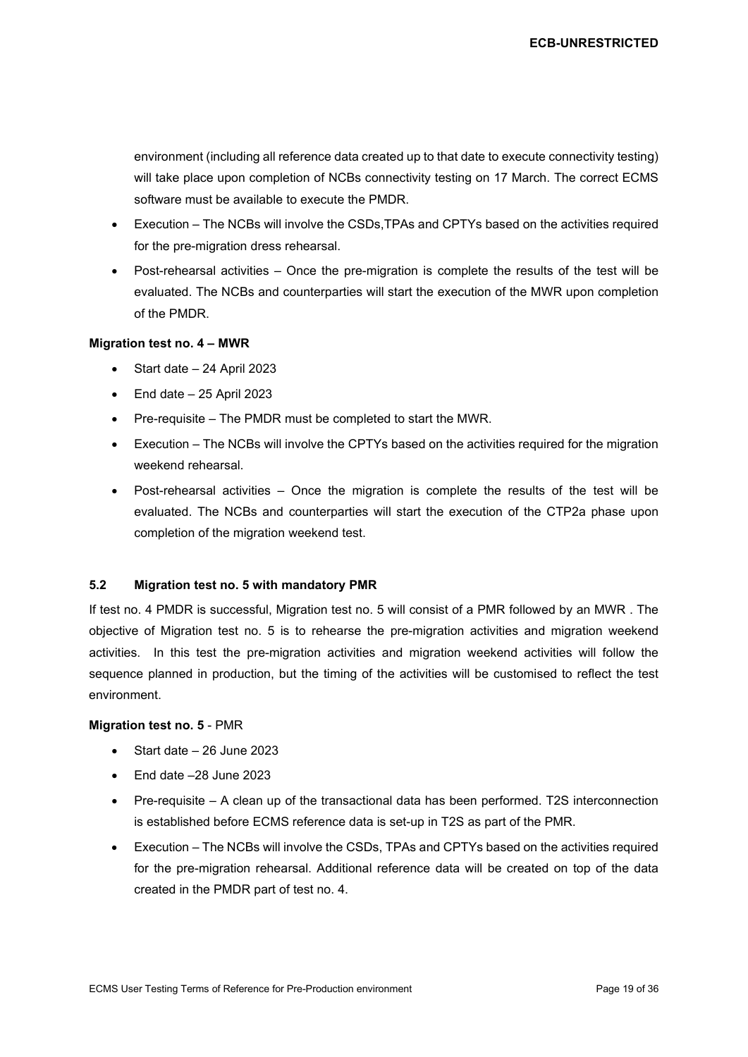environment (including all reference data created up to that date to execute connectivity testing) will take place upon completion of NCBs connectivity testing on 17 March. The correct ECMS software must be available to execute the PMDR.

- Execution The NCBs will involve the CSDs,TPAs and CPTYs based on the activities required for the pre-migration dress rehearsal.
- Post-rehearsal activities Once the pre-migration is complete the results of the test will be evaluated. The NCBs and counterparties will start the execution of the MWR upon completion of the PMDR.

#### **Migration test no. 4 – MWR**

- Start date 24 April 2023
- $\bullet$  End date  $-25$  April 2023
- Pre-requisite The PMDR must be completed to start the MWR.
- Execution The NCBs will involve the CPTYs based on the activities required for the migration weekend rehearsal.
- Post-rehearsal activities Once the migration is complete the results of the test will be evaluated. The NCBs and counterparties will start the execution of the CTP2a phase upon completion of the migration weekend test.

#### <span id="page-18-0"></span>**5.2 Migration test no. 5 with mandatory PMR**

If test no. 4 PMDR is successful, Migration test no. 5 will consist of a PMR followed by an MWR . The objective of Migration test no. 5 is to rehearse the pre-migration activities and migration weekend activities. In this test the pre-migration activities and migration weekend activities will follow the sequence planned in production, but the timing of the activities will be customised to reflect the test environment.

#### **Migration test no. 5** - PMR

- Start date 26 June 2023
- End date –28 June 2023
- Pre-requisite A clean up of the transactional data has been performed. T2S interconnection is established before ECMS reference data is set-up in T2S as part of the PMR.
- Execution The NCBs will involve the CSDs, TPAs and CPTYs based on the activities required for the pre-migration rehearsal. Additional reference data will be created on top of the data created in the PMDR part of test no. 4.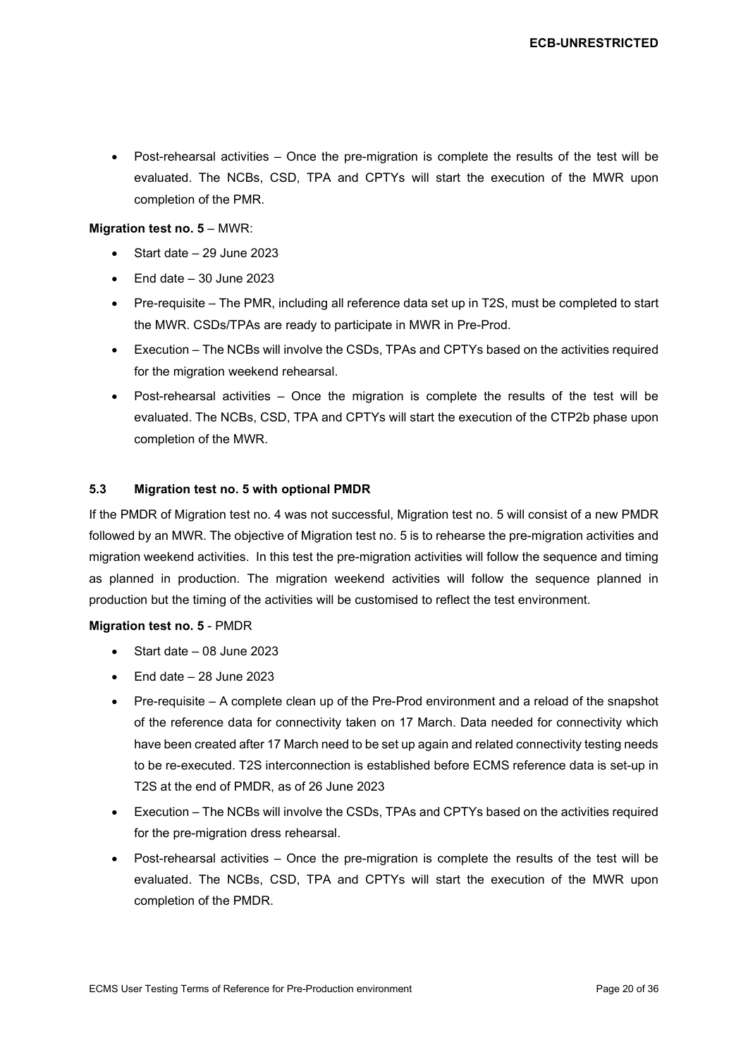• Post-rehearsal activities – Once the pre-migration is complete the results of the test will be evaluated. The NCBs, CSD, TPA and CPTYs will start the execution of the MWR upon completion of the PMR.

#### **Migration test no. 5** – MWR:

- Start date 29 June 2023
- $\bullet$  End date  $-30$  June 2023
- Pre-requisite The PMR, including all reference data set up in T2S, must be completed to start the MWR. CSDs/TPAs are ready to participate in MWR in Pre-Prod.
- Execution The NCBs will involve the CSDs, TPAs and CPTYs based on the activities required for the migration weekend rehearsal.
- Post-rehearsal activities Once the migration is complete the results of the test will be evaluated. The NCBs, CSD, TPA and CPTYs will start the execution of the CTP2b phase upon completion of the MWR.

#### <span id="page-19-0"></span>**5.3 Migration test no. 5 with optional PMDR**

If the PMDR of Migration test no. 4 was not successful, Migration test no. 5 will consist of a new PMDR followed by an MWR. The objective of Migration test no. 5 is to rehearse the pre-migration activities and migration weekend activities. In this test the pre-migration activities will follow the sequence and timing as planned in production. The migration weekend activities will follow the sequence planned in production but the timing of the activities will be customised to reflect the test environment.

#### **Migration test no. 5** - PMDR

- Start date 08 June 2023
- End date 28 June 2023
- Pre-requisite A complete clean up of the Pre-Prod environment and a reload of the snapshot of the reference data for connectivity taken on 17 March. Data needed for connectivity which have been created after 17 March need to be set up again and related connectivity testing needs to be re-executed. T2S interconnection is established before ECMS reference data is set-up in T2S at the end of PMDR, as of 26 June 2023
- Execution The NCBs will involve the CSDs, TPAs and CPTYs based on the activities required for the pre-migration dress rehearsal.
- Post-rehearsal activities Once the pre-migration is complete the results of the test will be evaluated. The NCBs, CSD, TPA and CPTYs will start the execution of the MWR upon completion of the PMDR.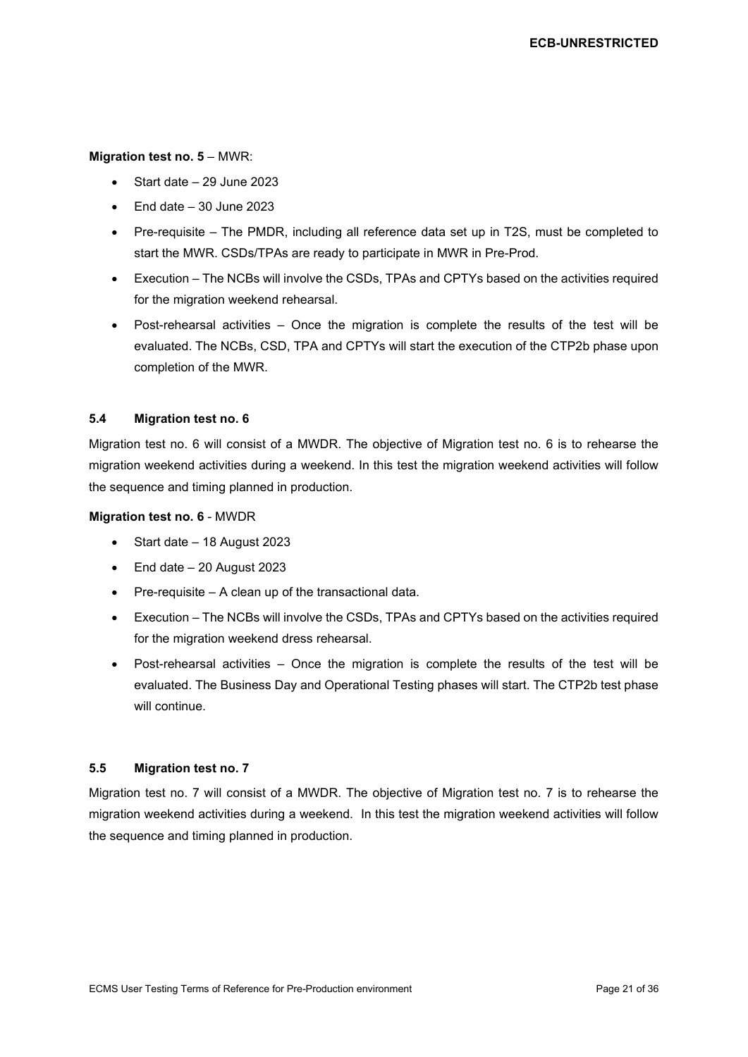#### **Migration test no. 5** – MWR:

- Start date 29 June 2023
- $\bullet$  End date  $-30$  June 2023
- Pre-requisite The PMDR, including all reference data set up in T2S, must be completed to start the MWR. CSDs/TPAs are ready to participate in MWR in Pre-Prod.
- Execution The NCBs will involve the CSDs, TPAs and CPTYs based on the activities required for the migration weekend rehearsal.
- Post-rehearsal activities Once the migration is complete the results of the test will be evaluated. The NCBs, CSD, TPA and CPTYs will start the execution of the CTP2b phase upon completion of the MWR.

#### <span id="page-20-0"></span>**5.4 Migration test no. 6**

Migration test no. 6 will consist of a MWDR. The objective of Migration test no. 6 is to rehearse the migration weekend activities during a weekend. In this test the migration weekend activities will follow the sequence and timing planned in production.

#### **Migration test no. 6** - MWDR

- Start date 18 August 2023
- End date 20 August 2023
- Pre-requisite A clean up of the transactional data.
- Execution The NCBs will involve the CSDs, TPAs and CPTYs based on the activities required for the migration weekend dress rehearsal.
- Post-rehearsal activities Once the migration is complete the results of the test will be evaluated. The Business Day and Operational Testing phases will start. The CTP2b test phase will continue.

#### <span id="page-20-1"></span>**5.5 Migration test no. 7**

Migration test no. 7 will consist of a MWDR. The objective of Migration test no. 7 is to rehearse the migration weekend activities during a weekend. In this test the migration weekend activities will follow the sequence and timing planned in production.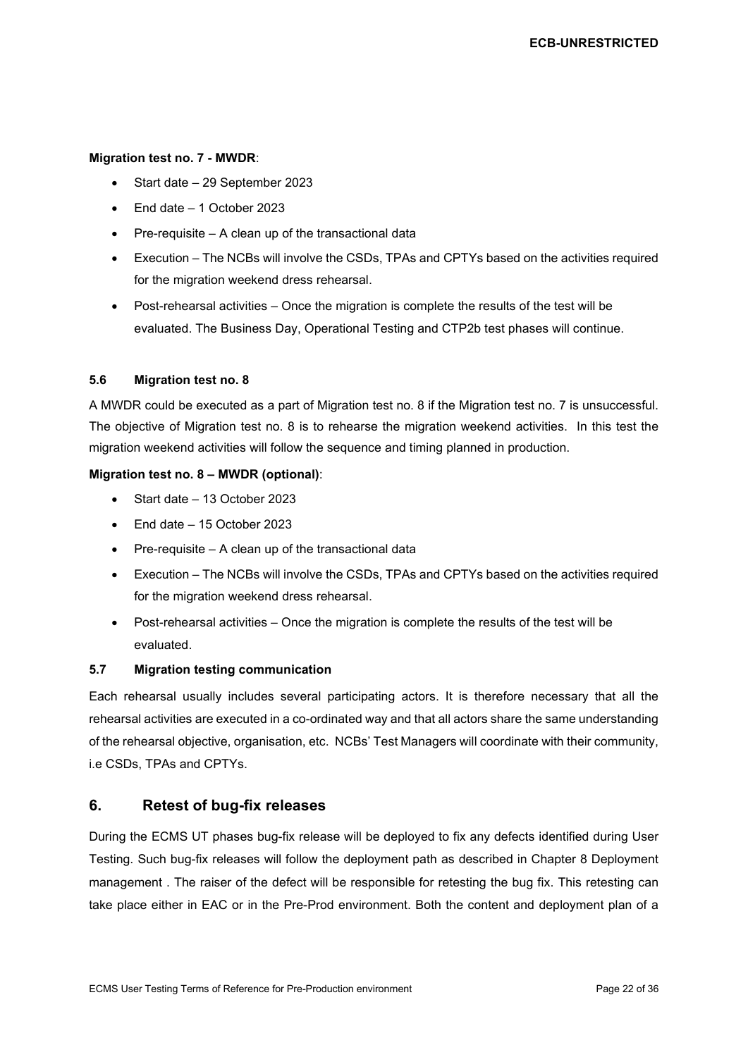#### **Migration test no. 7 - MWDR**:

- Start date 29 September 2023
- End date 1 October 2023
- Pre-requisite A clean up of the transactional data
- Execution The NCBs will involve the CSDs, TPAs and CPTYs based on the activities required for the migration weekend dress rehearsal.
- Post-rehearsal activities Once the migration is complete the results of the test will be evaluated. The Business Day, Operational Testing and CTP2b test phases will continue.

#### <span id="page-21-0"></span>**5.6 Migration test no. 8**

A MWDR could be executed as a part of Migration test no. 8 if the Migration test no. 7 is unsuccessful. The objective of Migration test no. 8 is to rehearse the migration weekend activities. In this test the migration weekend activities will follow the sequence and timing planned in production.

#### **Migration test no. 8 – MWDR (optional)**:

- Start date 13 October 2023
- End date 15 October 2023
- Pre-requisite A clean up of the transactional data
- Execution The NCBs will involve the CSDs, TPAs and CPTYs based on the activities required for the migration weekend dress rehearsal.
- Post-rehearsal activities Once the migration is complete the results of the test will be evaluated.

#### <span id="page-21-1"></span>**5.7 Migration testing communication**

Each rehearsal usually includes several participating actors. It is therefore necessary that all the rehearsal activities are executed in a co-ordinated way and that all actors share the same understanding of the rehearsal objective, organisation, etc. NCBs' Test Managers will coordinate with their community, i.e CSDs, TPAs and CPTYs.

## <span id="page-21-2"></span>**6. Retest of bug-fix releases**

During the ECMS UT phases bug-fix release will be deployed to fix any defects identified during User Testing. Such bug-fix releases will follow the deployment path as described in Chapter 8 [Deployment](#page-27-0)  [management](#page-27-0) . The raiser of the defect will be responsible for retesting the bug fix. This retesting can take place either in EAC or in the Pre-Prod environment. Both the content and deployment plan of a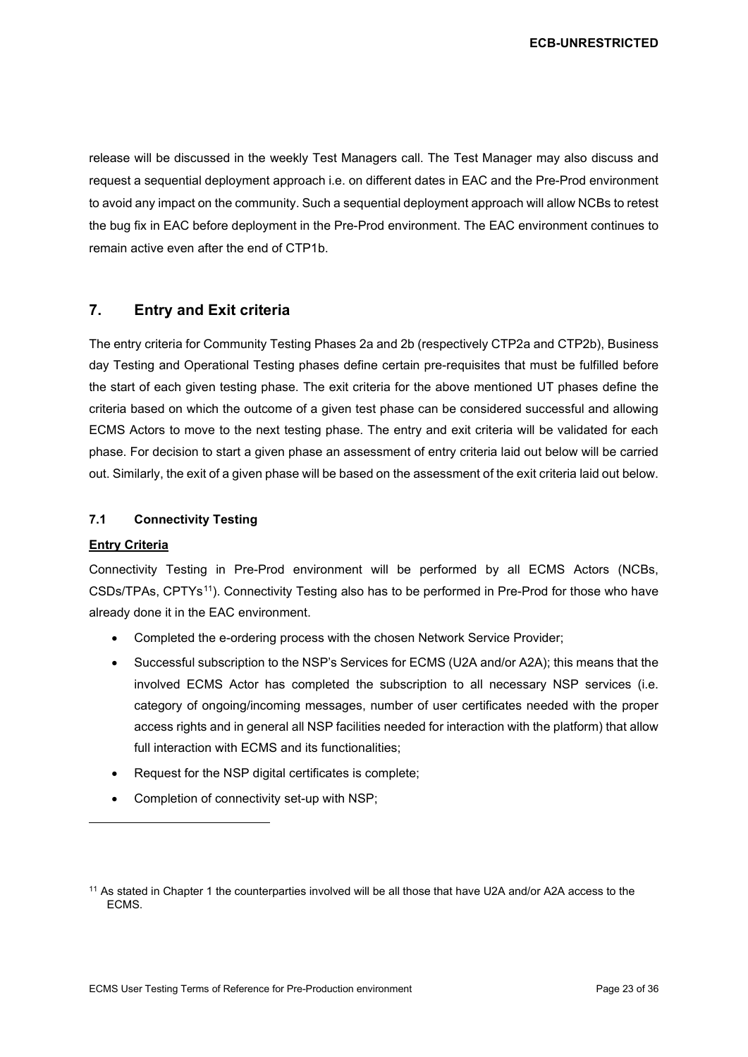release will be discussed in the weekly Test Managers call. The Test Manager may also discuss and request a sequential deployment approach i.e. on different dates in EAC and the Pre-Prod environment to avoid any impact on the community. Such a sequential deployment approach will allow NCBs to retest the bug fix in EAC before deployment in the Pre-Prod environment. The EAC environment continues to remain active even after the end of CTP1b.

## <span id="page-22-0"></span>**7. Entry and Exit criteria**

The entry criteria for Community Testing Phases 2a and 2b (respectively CTP2a and CTP2b), Business day Testing and Operational Testing phases define certain pre-requisites that must be fulfilled before the start of each given testing phase. The exit criteria for the above mentioned UT phases define the criteria based on which the outcome of a given test phase can be considered successful and allowing ECMS Actors to move to the next testing phase. The entry and exit criteria will be validated for each phase. For decision to start a given phase an assessment of entry criteria laid out below will be carried out. Similarly, the exit of a given phase will be based on the assessment of the exit criteria laid out below.

## <span id="page-22-1"></span>**7.1 Connectivity Testing**

#### **Entry Criteria**

Connectivity Testing in Pre-Prod environment will be performed by all ECMS Actors (NCBs, CSDs/TPAs, CPTYs[11](#page-22-2)). Connectivity Testing also has to be performed in Pre-Prod for those who have already done it in the EAC environment.

- Completed the e-ordering process with the chosen Network Service Provider;
- Successful subscription to the NSP's Services for ECMS (U2A and/or A2A); this means that the involved ECMS Actor has completed the subscription to all necessary NSP services (i.e. category of ongoing/incoming messages, number of user certificates needed with the proper access rights and in general all NSP facilities needed for interaction with the platform) that allow full interaction with ECMS and its functionalities;
- Request for the NSP digital certificates is complete;
- Completion of connectivity set-up with NSP;

<span id="page-22-2"></span><sup>11</sup> As stated in Chapter [1](#page-4-0) the counterparties involved will be all those that have U2A and/or A2A access to the ECMS.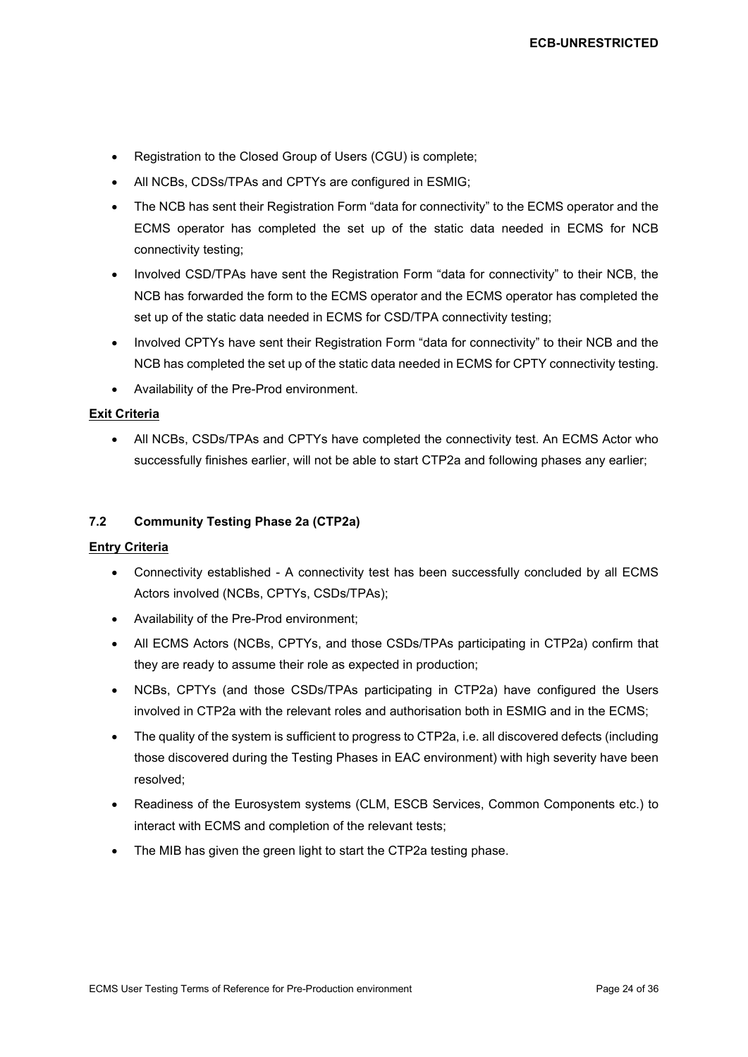- Registration to the Closed Group of Users (CGU) is complete;
- All NCBs, CDSs/TPAs and CPTYs are configured in ESMIG;
- The NCB has sent their Registration Form "data for connectivity" to the ECMS operator and the ECMS operator has completed the set up of the static data needed in ECMS for NCB connectivity testing;
- Involved CSD/TPAs have sent the Registration Form "data for connectivity" to their NCB, the NCB has forwarded the form to the ECMS operator and the ECMS operator has completed the set up of the static data needed in ECMS for CSD/TPA connectivity testing;
- Involved CPTYs have sent their Registration Form "data for connectivity" to their NCB and the NCB has completed the set up of the static data needed in ECMS for CPTY connectivity testing.
- Availability of the Pre-Prod environment.

#### **Exit Criteria**

• All NCBs, CSDs/TPAs and CPTYs have completed the connectivity test. An ECMS Actor who successfully finishes earlier, will not be able to start CTP2a and following phases any earlier;

#### <span id="page-23-0"></span>**7.2 Community Testing Phase 2a (CTP2a)**

#### **Entry Criteria**

- Connectivity established A connectivity test has been successfully concluded by all ECMS Actors involved (NCBs, CPTYs, CSDs/TPAs);
- Availability of the Pre-Prod environment;
- All ECMS Actors (NCBs, CPTYs, and those CSDs/TPAs participating in CTP2a) confirm that they are ready to assume their role as expected in production;
- NCBs, CPTYs (and those CSDs/TPAs participating in CTP2a) have configured the Users involved in CTP2a with the relevant roles and authorisation both in ESMIG and in the ECMS;
- The quality of the system is sufficient to progress to CTP2a, i.e. all discovered defects (including those discovered during the Testing Phases in EAC environment) with high severity have been resolved;
- Readiness of the Eurosystem systems (CLM, ESCB Services, Common Components etc.) to interact with ECMS and completion of the relevant tests;
- The MIB has given the green light to start the CTP2a testing phase.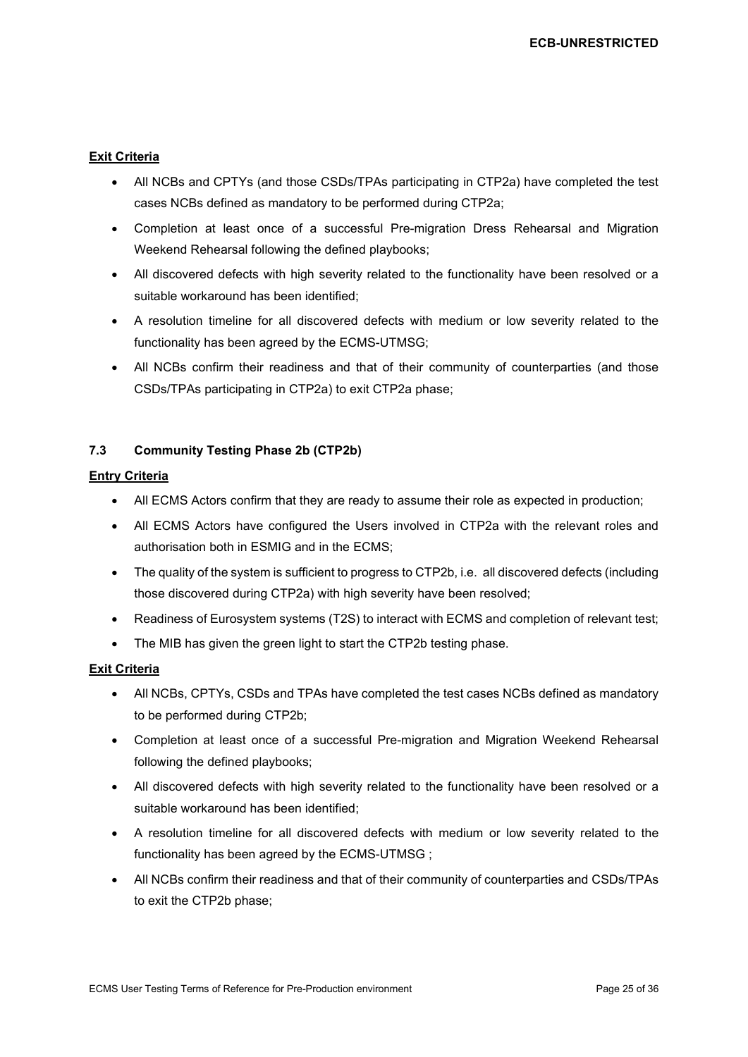#### **Exit Criteria**

- All NCBs and CPTYs (and those CSDs/TPAs participating in CTP2a) have completed the test cases NCBs defined as mandatory to be performed during CTP2a;
- Completion at least once of a successful Pre-migration Dress Rehearsal and Migration Weekend Rehearsal following the defined playbooks;
- All discovered defects with high severity related to the functionality have been resolved or a suitable workaround has been identified;
- A resolution timeline for all discovered defects with medium or low severity related to the functionality has been agreed by the ECMS-UTMSG;
- All NCBs confirm their readiness and that of their community of counterparties (and those CSDs/TPAs participating in CTP2a) to exit CTP2a phase;

## <span id="page-24-0"></span>**7.3 Community Testing Phase 2b (CTP2b)**

## **Entry Criteria**

- All ECMS Actors confirm that they are ready to assume their role as expected in production;
- All ECMS Actors have configured the Users involved in CTP2a with the relevant roles and authorisation both in ESMIG and in the ECMS;
- The quality of the system is sufficient to progress to CTP2b, i.e. all discovered defects (including those discovered during CTP2a) with high severity have been resolved;
- Readiness of Eurosystem systems (T2S) to interact with ECMS and completion of relevant test;
- The MIB has given the green light to start the CTP2b testing phase.

## **Exit Criteria**

- All NCBs, CPTYs, CSDs and TPAs have completed the test cases NCBs defined as mandatory to be performed during CTP2b;
- Completion at least once of a successful Pre-migration and Migration Weekend Rehearsal following the defined playbooks;
- All discovered defects with high severity related to the functionality have been resolved or a suitable workaround has been identified;
- A resolution timeline for all discovered defects with medium or low severity related to the functionality has been agreed by the ECMS-UTMSG ;
- All NCBs confirm their readiness and that of their community of counterparties and CSDs/TPAs to exit the CTP2b phase;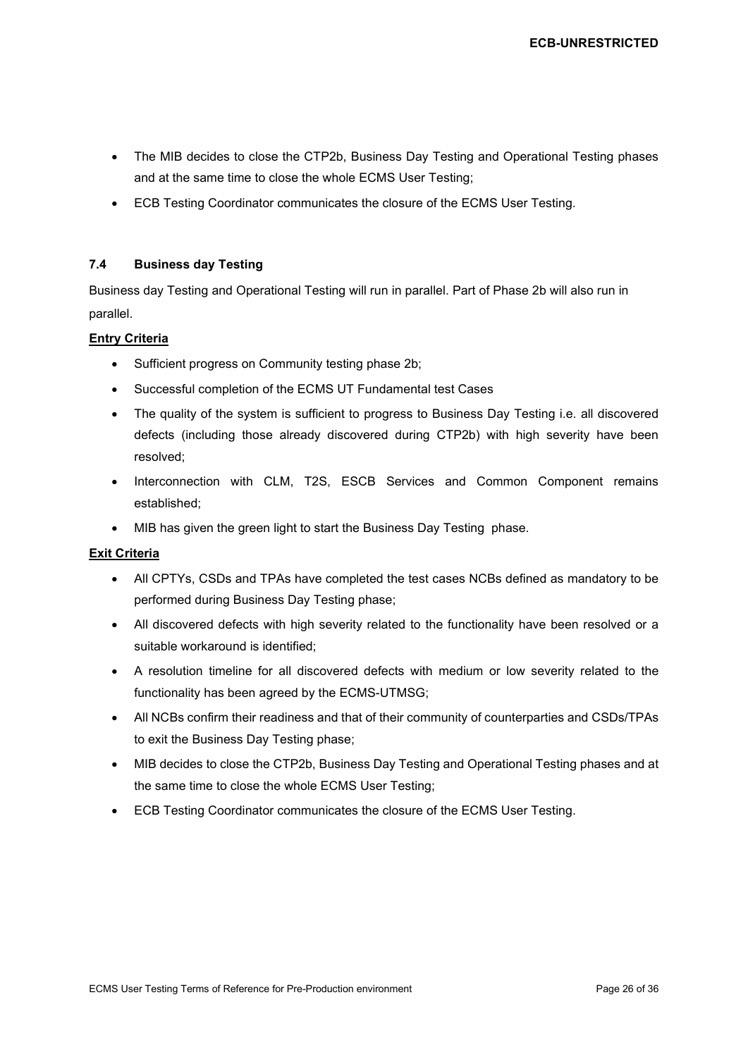- The MIB decides to close the CTP2b, Business Day Testing and Operational Testing phases and at the same time to close the whole ECMS User Testing;
- ECB Testing Coordinator communicates the closure of the ECMS User Testing.

#### <span id="page-25-0"></span>**7.4 Business day Testing**

Business day Testing and Operational Testing will run in parallel. Part of Phase 2b will also run in parallel.

## **Entry Criteria**

- Sufficient progress on Community testing phase 2b;
- Successful completion of the ECMS UT Fundamental test Cases
- The quality of the system is sufficient to progress to Business Day Testing i.e. all discovered defects (including those already discovered during CTP2b) with high severity have been resolved;
- Interconnection with CLM, T2S, ESCB Services and Common Component remains established;
- MIB has given the green light to start the Business Day Testing phase.

#### **Exit Criteria**

- All CPTYs, CSDs and TPAs have completed the test cases NCBs defined as mandatory to be performed during Business Day Testing phase;
- All discovered defects with high severity related to the functionality have been resolved or a suitable workaround is identified;
- A resolution timeline for all discovered defects with medium or low severity related to the functionality has been agreed by the ECMS-UTMSG;
- All NCBs confirm their readiness and that of their community of counterparties and CSDs/TPAs to exit the Business Day Testing phase;
- MIB decides to close the CTP2b, Business Day Testing and Operational Testing phases and at the same time to close the whole ECMS User Testing;
- ECB Testing Coordinator communicates the closure of the ECMS User Testing.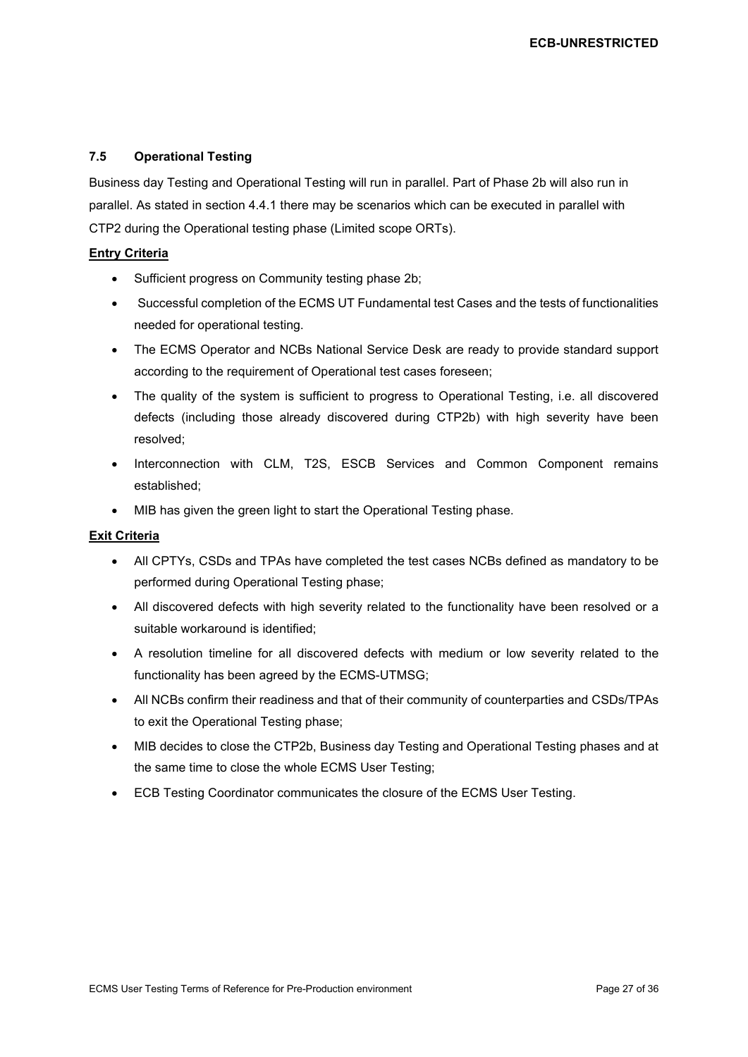#### <span id="page-26-0"></span>**7.5 Operational Testing**

Business day Testing and Operational Testing will run in parallel. Part of Phase 2b will also run in parallel. As stated in section 4.4.1 there may be scenarios which can be executed in parallel with CTP2 during the Operational testing phase (Limited scope ORTs).

#### **Entry Criteria**

- Sufficient progress on Community testing phase 2b;
- Successful completion of the ECMS UT Fundamental test Cases and the tests of functionalities needed for operational testing.
- The ECMS Operator and NCBs National Service Desk are ready to provide standard support according to the requirement of Operational test cases foreseen;
- The quality of the system is sufficient to progress to Operational Testing, i.e. all discovered defects (including those already discovered during CTP2b) with high severity have been resolved;
- Interconnection with CLM, T2S, ESCB Services and Common Component remains established;
- MIB has given the green light to start the Operational Testing phase.

#### **Exit Criteria**

- All CPTYs, CSDs and TPAs have completed the test cases NCBs defined as mandatory to be performed during Operational Testing phase;
- All discovered defects with high severity related to the functionality have been resolved or a suitable workaround is identified;
- A resolution timeline for all discovered defects with medium or low severity related to the functionality has been agreed by the ECMS-UTMSG;
- All NCBs confirm their readiness and that of their community of counterparties and CSDs/TPAs to exit the Operational Testing phase;
- MIB decides to close the CTP2b, Business day Testing and Operational Testing phases and at the same time to close the whole ECMS User Testing;
- ECB Testing Coordinator communicates the closure of the ECMS User Testing.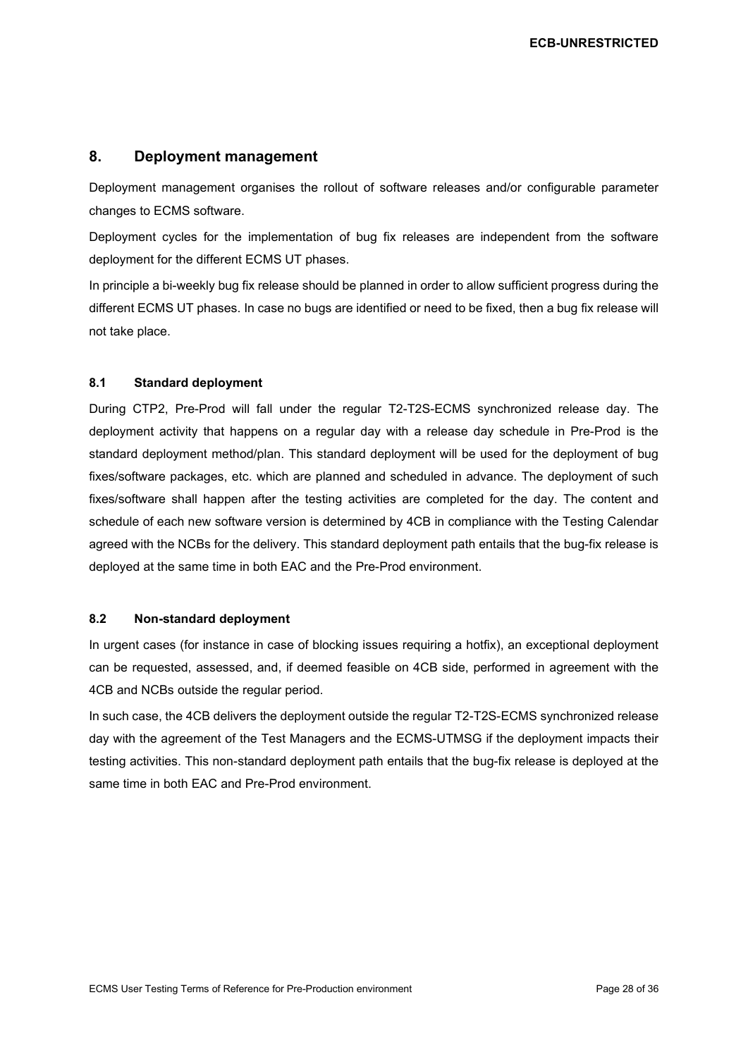## <span id="page-27-0"></span>**8. Deployment management**

Deployment management organises the rollout of software releases and/or configurable parameter changes to ECMS software.

Deployment cycles for the implementation of bug fix releases are independent from the software deployment for the different ECMS UT phases.

In principle a bi-weekly bug fix release should be planned in order to allow sufficient progress during the different ECMS UT phases. In case no bugs are identified or need to be fixed, then a bug fix release will not take place.

#### <span id="page-27-1"></span>**8.1 Standard deployment**

During CTP2, Pre-Prod will fall under the regular T2-T2S-ECMS synchronized release day. The deployment activity that happens on a regular day with a release day schedule in Pre-Prod is the standard deployment method/plan. This standard deployment will be used for the deployment of bug fixes/software packages, etc. which are planned and scheduled in advance. The deployment of such fixes/software shall happen after the testing activities are completed for the day. The content and schedule of each new software version is determined by 4CB in compliance with the Testing Calendar agreed with the NCBs for the delivery. This standard deployment path entails that the bug-fix release is deployed at the same time in both EAC and the Pre-Prod environment.

#### <span id="page-27-2"></span>**8.2 Non-standard deployment**

In urgent cases (for instance in case of blocking issues requiring a hotfix), an exceptional deployment can be requested, assessed, and, if deemed feasible on 4CB side, performed in agreement with the 4CB and NCBs outside the regular period.

In such case, the 4CB delivers the deployment outside the regular T2-T2S-ECMS synchronized release day with the agreement of the Test Managers and the ECMS-UTMSG if the deployment impacts their testing activities. This non-standard deployment path entails that the bug-fix release is deployed at the same time in both EAC and Pre-Prod environment.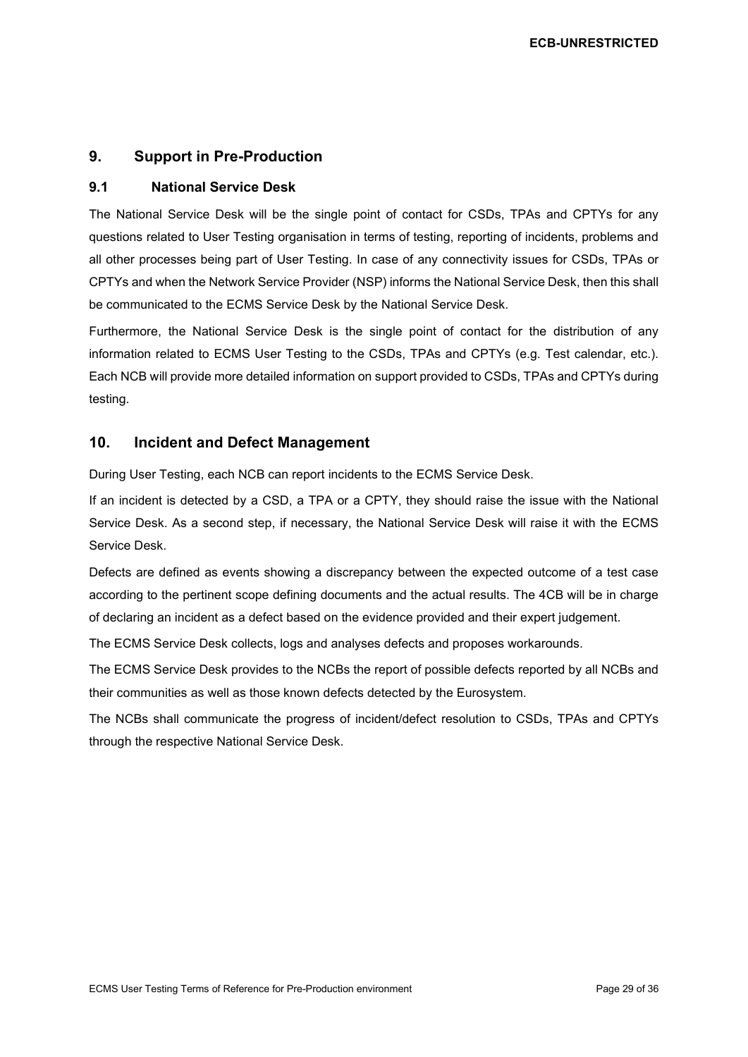## <span id="page-28-0"></span>**9. Support in Pre-Production**

## <span id="page-28-1"></span>**9.1 National Service Desk**

The National Service Desk will be the single point of contact for CSDs, TPAs and CPTYs for any questions related to User Testing organisation in terms of testing, reporting of incidents, problems and all other processes being part of User Testing. In case of any connectivity issues for CSDs, TPAs or CPTYs and when the Network Service Provider (NSP) informs the National Service Desk, then this shall be communicated to the ECMS Service Desk by the National Service Desk.

Furthermore, the National Service Desk is the single point of contact for the distribution of any information related to ECMS User Testing to the CSDs, TPAs and CPTYs (e.g. Test calendar, etc.). Each NCB will provide more detailed information on support provided to CSDs, TPAs and CPTYs during testing.

## <span id="page-28-2"></span>**10. Incident and Defect Management**

During User Testing, each NCB can report incidents to the ECMS Service Desk.

If an incident is detected by a CSD, a TPA or a CPTY, they should raise the issue with the National Service Desk. As a second step, if necessary, the National Service Desk will raise it with the ECMS Service Desk.

Defects are defined as events showing a discrepancy between the expected outcome of a test case according to the pertinent scope defining documents and the actual results. The 4CB will be in charge of declaring an incident as a defect based on the evidence provided and their expert judgement.

The ECMS Service Desk collects, logs and analyses defects and proposes workarounds.

The ECMS Service Desk provides to the NCBs the report of possible defects reported by all NCBs and their communities as well as those known defects detected by the Eurosystem.

The NCBs shall communicate the progress of incident/defect resolution to CSDs, TPAs and CPTYs through the respective National Service Desk.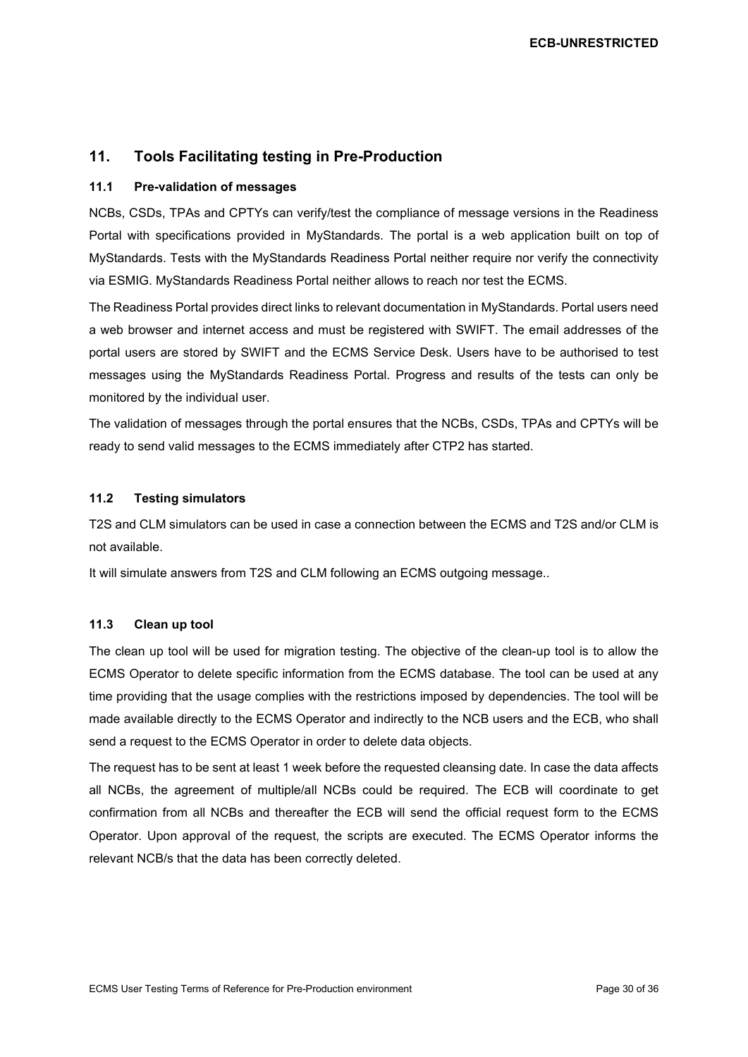## <span id="page-29-0"></span>**11. Tools Facilitating testing in Pre-Production**

#### <span id="page-29-1"></span>**11.1 Pre-validation of messages**

NCBs, CSDs, TPAs and CPTYs can verify/test the compliance of message versions in the Readiness Portal with specifications provided in MyStandards. The portal is a web application built on top of MyStandards. Tests with the MyStandards Readiness Portal neither require nor verify the connectivity via ESMIG. MyStandards Readiness Portal neither allows to reach nor test the ECMS.

The Readiness Portal provides direct links to relevant documentation in MyStandards. Portal users need a web browser and internet access and must be registered with SWIFT. The email addresses of the portal users are stored by SWIFT and the ECMS Service Desk. Users have to be authorised to test messages using the MyStandards Readiness Portal. Progress and results of the tests can only be monitored by the individual user.

The validation of messages through the portal ensures that the NCBs, CSDs, TPAs and CPTYs will be ready to send valid messages to the ECMS immediately after CTP2 has started.

#### <span id="page-29-2"></span>**11.2 Testing simulators**

T2S and CLM simulators can be used in case a connection between the ECMS and T2S and/or CLM is not available.

It will simulate answers from T2S and CLM following an ECMS outgoing message..

#### <span id="page-29-3"></span>**11.3 Clean up tool**

The clean up tool will be used for migration testing. The objective of the clean-up tool is to allow the ECMS Operator to delete specific information from the ECMS database. The tool can be used at any time providing that the usage complies with the restrictions imposed by dependencies. The tool will be made available directly to the ECMS Operator and indirectly to the NCB users and the ECB, who shall send a request to the ECMS Operator in order to delete data objects.

The request has to be sent at least 1 week before the requested cleansing date. In case the data affects all NCBs, the agreement of multiple/all NCBs could be required. The ECB will coordinate to get confirmation from all NCBs and thereafter the ECB will send the official request form to the ECMS Operator. Upon approval of the request, the scripts are executed. The ECMS Operator informs the relevant NCB/s that the data has been correctly deleted.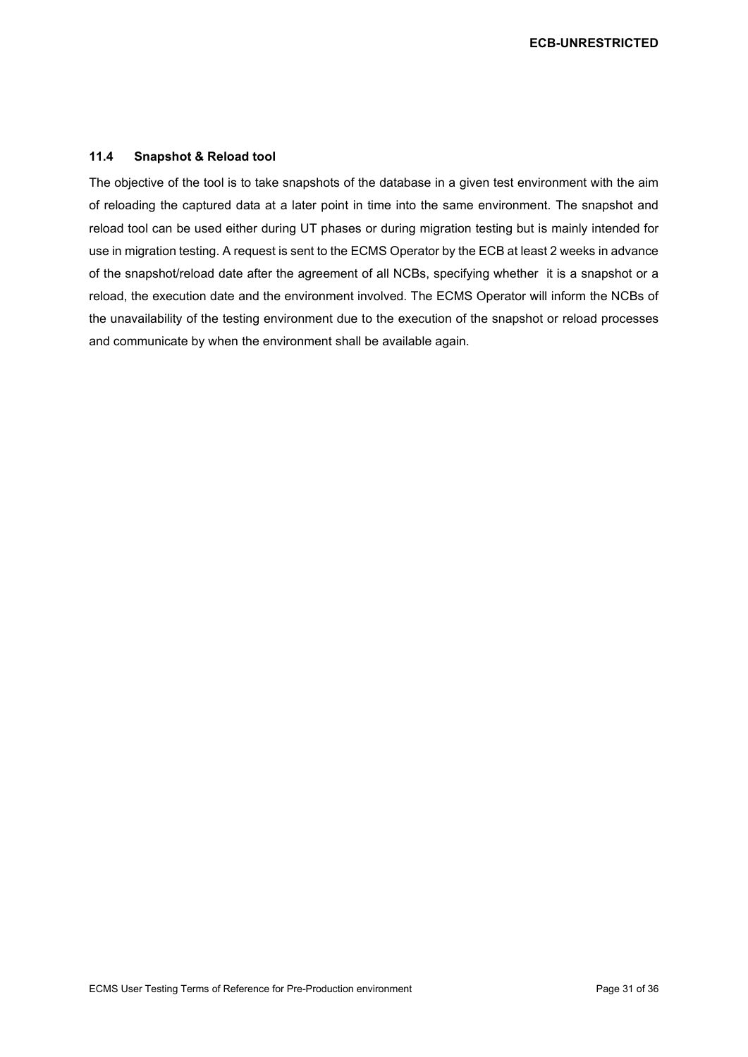#### <span id="page-30-0"></span>**11.4 Snapshot & Reload tool**

The objective of the tool is to take snapshots of the database in a given test environment with the aim of reloading the captured data at a later point in time into the same environment. The snapshot and reload tool can be used either during UT phases or during migration testing but is mainly intended for use in migration testing. A request is sent to the ECMS Operator by the ECB at least 2 weeks in advance of the snapshot/reload date after the agreement of all NCBs, specifying whether it is a snapshot or a reload, the execution date and the environment involved. The ECMS Operator will inform the NCBs of the unavailability of the testing environment due to the execution of the snapshot or reload processes and communicate by when the environment shall be available again.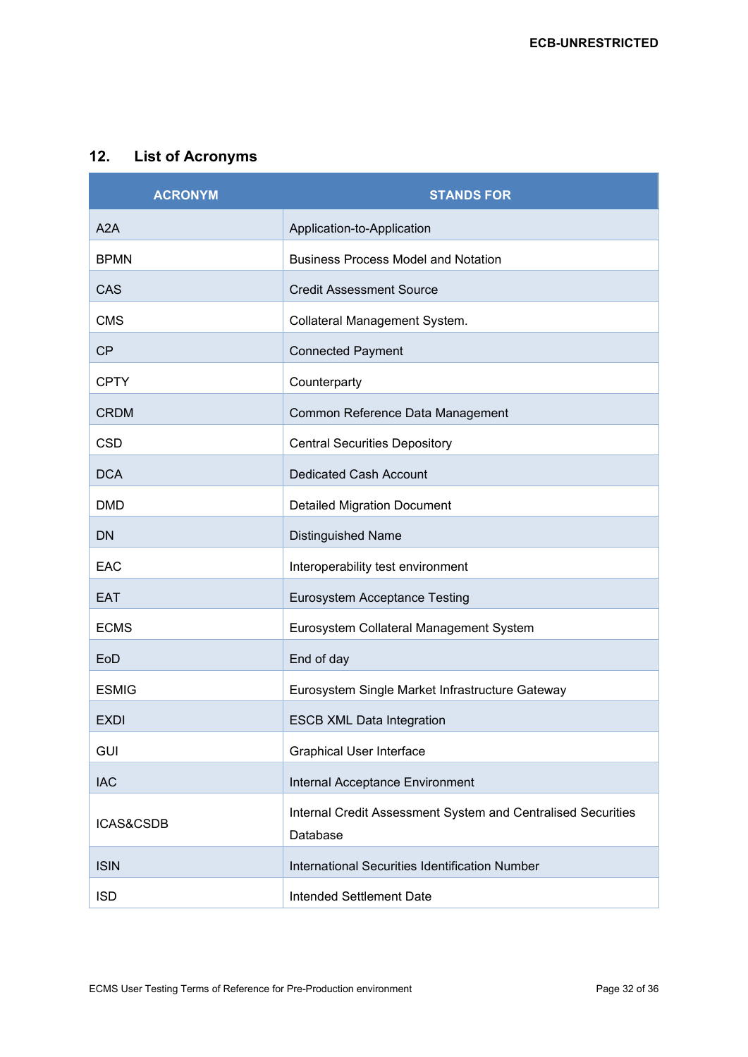## <span id="page-31-0"></span>**12. List of Acronyms**

| <b>ACRONYM</b> | <b>STANDS FOR</b>                                                        |
|----------------|--------------------------------------------------------------------------|
| A2A            | Application-to-Application                                               |
| <b>BPMN</b>    | <b>Business Process Model and Notation</b>                               |
| CAS            | <b>Credit Assessment Source</b>                                          |
| <b>CMS</b>     | Collateral Management System.                                            |
| <b>CP</b>      | <b>Connected Payment</b>                                                 |
| <b>CPTY</b>    | Counterparty                                                             |
| <b>CRDM</b>    | Common Reference Data Management                                         |
| <b>CSD</b>     | <b>Central Securities Depository</b>                                     |
| <b>DCA</b>     | <b>Dedicated Cash Account</b>                                            |
| <b>DMD</b>     | <b>Detailed Migration Document</b>                                       |
| <b>DN</b>      | <b>Distinguished Name</b>                                                |
| EAC            | Interoperability test environment                                        |
| <b>EAT</b>     | Eurosystem Acceptance Testing                                            |
| <b>ECMS</b>    | Eurosystem Collateral Management System                                  |
| EoD            | End of day                                                               |
| <b>ESMIG</b>   | Eurosystem Single Market Infrastructure Gateway                          |
| <b>EXDI</b>    | <b>ESCB XML Data Integration</b>                                         |
| <b>GUI</b>     | <b>Graphical User Interface</b>                                          |
| <b>IAC</b>     | Internal Acceptance Environment                                          |
| ICAS&CSDB      | Internal Credit Assessment System and Centralised Securities<br>Database |
| <b>ISIN</b>    | <b>International Securities Identification Number</b>                    |
| <b>ISD</b>     | Intended Settlement Date                                                 |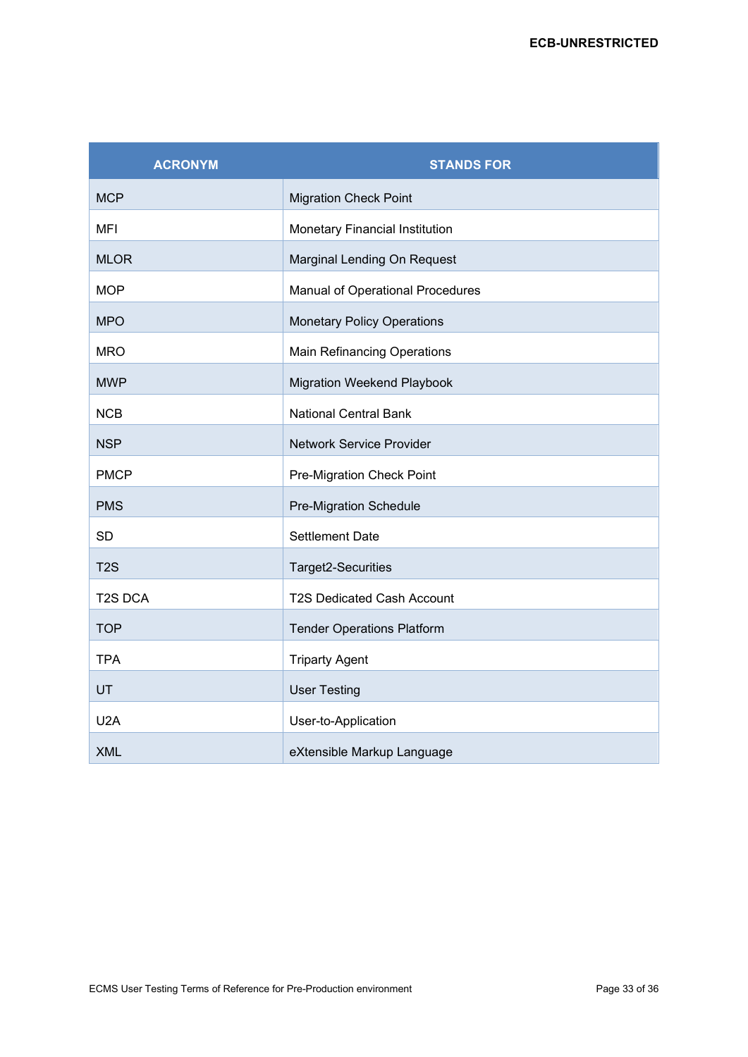| <b>ACRONYM</b>   | <b>STANDS FOR</b>                  |
|------------------|------------------------------------|
| <b>MCP</b>       | <b>Migration Check Point</b>       |
| <b>MFI</b>       | Monetary Financial Institution     |
| <b>MLOR</b>      | Marginal Lending On Request        |
| <b>MOP</b>       | Manual of Operational Procedures   |
| <b>MPO</b>       | <b>Monetary Policy Operations</b>  |
| <b>MRO</b>       | <b>Main Refinancing Operations</b> |
| <b>MWP</b>       | <b>Migration Weekend Playbook</b>  |
| <b>NCB</b>       | <b>National Central Bank</b>       |
| <b>NSP</b>       | <b>Network Service Provider</b>    |
| <b>PMCP</b>      | Pre-Migration Check Point          |
| <b>PMS</b>       | <b>Pre-Migration Schedule</b>      |
| <b>SD</b>        | <b>Settlement Date</b>             |
| T <sub>2</sub> S | Target2-Securities                 |
| <b>T2S DCA</b>   | <b>T2S Dedicated Cash Account</b>  |
| <b>TOP</b>       | <b>Tender Operations Platform</b>  |
| <b>TPA</b>       | <b>Triparty Agent</b>              |
| UT               | <b>User Testing</b>                |
| U2A              | User-to-Application                |
| <b>XML</b>       | eXtensible Markup Language         |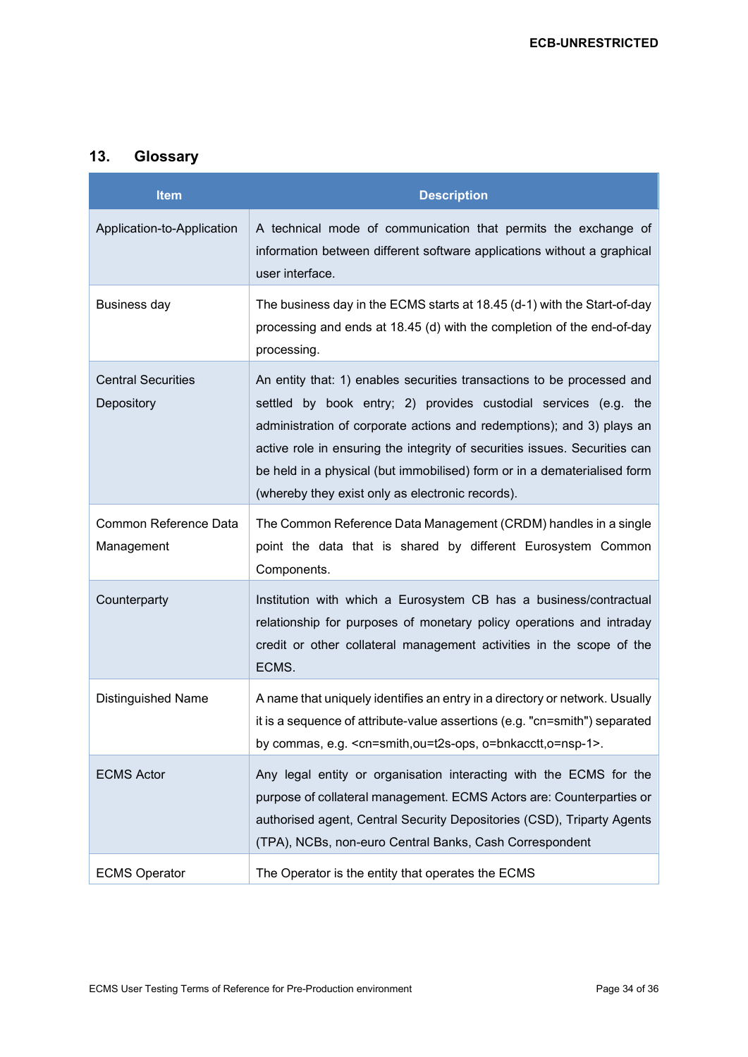## <span id="page-33-0"></span>**13. Glossary**

| <b>Item</b>                             | <b>Description</b>                                                                                                                                                                                                                                                                                                                                                                                                               |
|-----------------------------------------|----------------------------------------------------------------------------------------------------------------------------------------------------------------------------------------------------------------------------------------------------------------------------------------------------------------------------------------------------------------------------------------------------------------------------------|
| Application-to-Application              | A technical mode of communication that permits the exchange of<br>information between different software applications without a graphical<br>user interface.                                                                                                                                                                                                                                                                     |
| Business day                            | The business day in the ECMS starts at 18.45 (d-1) with the Start-of-day<br>processing and ends at 18.45 (d) with the completion of the end-of-day<br>processing.                                                                                                                                                                                                                                                                |
| <b>Central Securities</b><br>Depository | An entity that: 1) enables securities transactions to be processed and<br>settled by book entry; 2) provides custodial services (e.g. the<br>administration of corporate actions and redemptions); and 3) plays an<br>active role in ensuring the integrity of securities issues. Securities can<br>be held in a physical (but immobilised) form or in a dematerialised form<br>(whereby they exist only as electronic records). |
| Common Reference Data<br>Management     | The Common Reference Data Management (CRDM) handles in a single<br>point the data that is shared by different Eurosystem Common<br>Components.                                                                                                                                                                                                                                                                                   |
| Counterparty                            | Institution with which a Eurosystem CB has a business/contractual<br>relationship for purposes of monetary policy operations and intraday<br>credit or other collateral management activities in the scope of the<br>ECMS.                                                                                                                                                                                                       |
| <b>Distinguished Name</b>               | A name that uniquely identifies an entry in a directory or network. Usually<br>it is a sequence of attribute-value assertions (e.g. "cn=smith") separated<br>by commas, e.g. <cn=smith,ou=t2s-ops, o="bnkacctt,o=nsp-1">.</cn=smith,ou=t2s-ops,>                                                                                                                                                                                 |
| <b>ECMS Actor</b>                       | Any legal entity or organisation interacting with the ECMS for the<br>purpose of collateral management. ECMS Actors are: Counterparties or<br>authorised agent, Central Security Depositories (CSD), Triparty Agents<br>(TPA), NCBs, non-euro Central Banks, Cash Correspondent                                                                                                                                                  |
| <b>ECMS Operator</b>                    | The Operator is the entity that operates the ECMS                                                                                                                                                                                                                                                                                                                                                                                |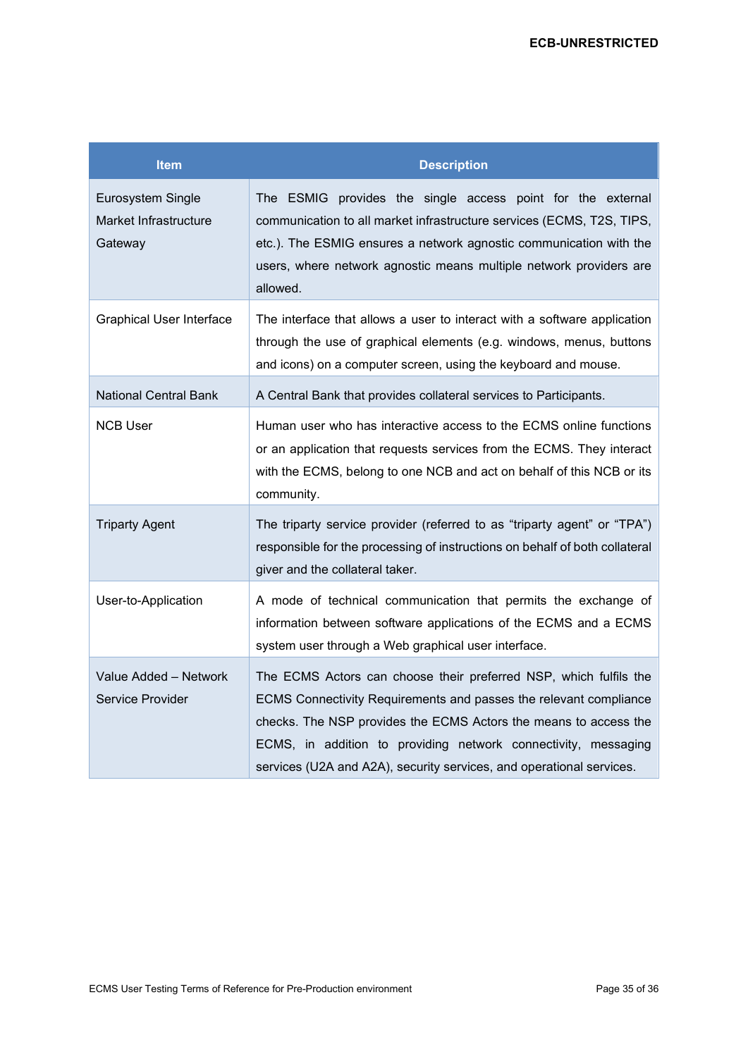| <b>Item</b>                                           | <b>Description</b>                                                                                                                                                                                                                                                                                                                                   |
|-------------------------------------------------------|------------------------------------------------------------------------------------------------------------------------------------------------------------------------------------------------------------------------------------------------------------------------------------------------------------------------------------------------------|
| Eurosystem Single<br>Market Infrastructure<br>Gateway | The ESMIG provides the single access point for the external<br>communication to all market infrastructure services (ECMS, T2S, TIPS,<br>etc.). The ESMIG ensures a network agnostic communication with the<br>users, where network agnostic means multiple network providers are<br>allowed.                                                         |
| <b>Graphical User Interface</b>                       | The interface that allows a user to interact with a software application<br>through the use of graphical elements (e.g. windows, menus, buttons<br>and icons) on a computer screen, using the keyboard and mouse.                                                                                                                                    |
| <b>National Central Bank</b>                          | A Central Bank that provides collateral services to Participants.                                                                                                                                                                                                                                                                                    |
| <b>NCB User</b>                                       | Human user who has interactive access to the ECMS online functions<br>or an application that requests services from the ECMS. They interact<br>with the ECMS, belong to one NCB and act on behalf of this NCB or its<br>community.                                                                                                                   |
| <b>Triparty Agent</b>                                 | The triparty service provider (referred to as "triparty agent" or "TPA")<br>responsible for the processing of instructions on behalf of both collateral<br>giver and the collateral taker.                                                                                                                                                           |
| User-to-Application                                   | A mode of technical communication that permits the exchange of<br>information between software applications of the ECMS and a ECMS<br>system user through a Web graphical user interface.                                                                                                                                                            |
| Value Added - Network<br>Service Provider             | The ECMS Actors can choose their preferred NSP, which fulfils the<br>ECMS Connectivity Requirements and passes the relevant compliance<br>checks. The NSP provides the ECMS Actors the means to access the<br>ECMS, in addition to providing network connectivity, messaging<br>services (U2A and A2A), security services, and operational services. |